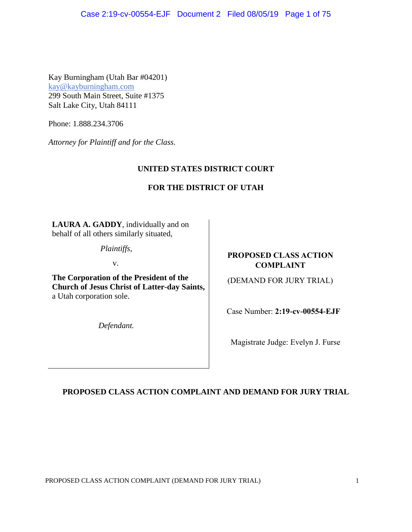Kay Burningham (Utah Bar #04201) kay@kayburningham.com 299 South Main Street, Suite #1375 Salt Lake City, Utah 84111

Phone: 1.888.234.3706

*Attorney for Plaintiff and for the Class.* 

# **UNITED STATES DISTRICT COURT**

# **FOR THE DISTRICT OF UTAH**

**LAURA A. GADDY**, individually and on behalf of all others similarly situated,

*Plaintiffs,* 

v.

**The Corporation of the President of the Church of Jesus Christ of Latter-day Saints,**  a Utah corporation sole.

*Defendant.*

# **PROPOSED CLASS ACTION COMPLAINT**

(DEMAND FOR JURY TRIAL)

Case Number: **2:19-cv-00554-EJF**

Magistrate Judge: Evelyn J. Furse

# **PROPOSED CLASS ACTION COMPLAINT AND DEMAND FOR JURY TRIAL**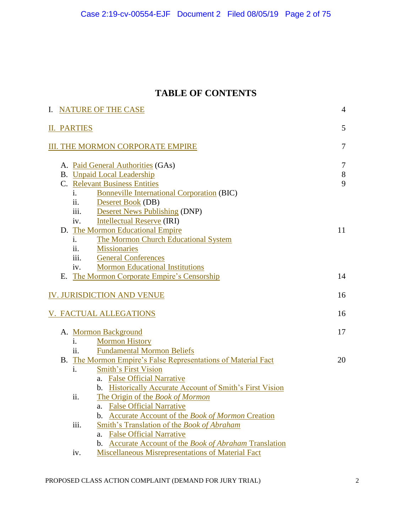# **TABLE OF CONTENTS**

|                            | I. NATURE OF THE CASE                   |                                  |                                                                                                                                                                                                                 |                      |
|----------------------------|-----------------------------------------|----------------------------------|-----------------------------------------------------------------------------------------------------------------------------------------------------------------------------------------------------------------|----------------------|
|                            |                                         | <b>II. PARTIES</b>               |                                                                                                                                                                                                                 | 5                    |
|                            | <b>III. THE MORMON CORPORATE EMPIRE</b> |                                  |                                                                                                                                                                                                                 |                      |
|                            |                                         | i.<br>ii.                        | A. Paid General Authorities (GAs)<br><b>B.</b> Unpaid Local Leadership<br>C. Relevant Business Entities<br><b>Bonneville International Corporation (BIC)</b><br>Deseret Book (DB)                               | $\tau$<br>$8\,$<br>9 |
|                            |                                         | iii.<br>iv.<br>i.<br>ii.<br>iii. | <b>Deseret News Publishing (DNP)</b><br><b>Intellectual Reserve (IRI)</b><br>D. The Mormon Educational Empire<br>The Mormon Church Educational System<br><b>Missionaries</b><br><b>General Conferences</b>      | $11\,$               |
|                            |                                         | iv.                              | <b>Mormon Educational Institutions</b><br>E. The Mormon Corporate Empire's Censorship                                                                                                                           | 14                   |
| IV. JURISDICTION AND VENUE |                                         |                                  |                                                                                                                                                                                                                 | 16                   |
|                            |                                         |                                  | V. FACTUAL ALLEGATIONS                                                                                                                                                                                          | 16                   |
|                            |                                         | i.<br>ii.                        | A. Mormon Background<br><b>Mormon History</b><br><b>Fundamental Mormon Beliefs</b>                                                                                                                              | 17                   |
|                            |                                         | i.                               | B. The Mormon Empire's False Representations of Material Fact<br><b>Smith's First Vision</b><br><b>False Official Narrative</b><br>a.                                                                           | 20                   |
|                            |                                         | ii.                              | <b>Historically Accurate Account of Smith's First Vision</b><br>b.<br>The Origin of the Book of Mormon<br><b>False Official Narrative</b><br>a.<br><b>Accurate Account of the Book of Mormon Creation</b><br>b. |                      |
|                            |                                         | iii.                             | Smith's Translation of the Book of Abraham<br><b>False Official Narrative</b><br>a.<br><b>Accurate Account of the Book of Abraham Translation</b><br>b.                                                         |                      |
|                            |                                         | iv.                              | <b>Miscellaneous Misrepresentations of Material Fact</b>                                                                                                                                                        |                      |

PROPOSED CLASS ACTION COMPLAINT (DEMAND FOR JURY TRIAL) 2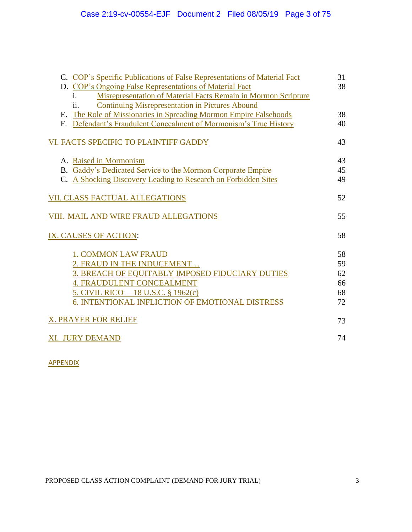| C. COP's Specific Publications of False Representations of Material Fact         | 31 |  |
|----------------------------------------------------------------------------------|----|--|
| D. COP's Ongoing False Representations of Material Fact                          | 38 |  |
| Misrepresentation of Material Facts Remain in Mormon Scripture<br>$\mathbf{1}$ . |    |  |
| <b>Continuing Misrepresentation in Pictures Abound</b><br>ii.                    | 38 |  |
| E. The Role of Missionaries in Spreading Mormon Empire Falsehoods                | 40 |  |
| F. Defendant's Fraudulent Concealment of Mormonism's True History                |    |  |
| VI. FACTS SPECIFIC TO PLAINTIFF GADDY                                            | 43 |  |
| A. Raised in Mormonism                                                           | 43 |  |
| B. Gaddy's Dedicated Service to the Mormon Corporate Empire                      | 45 |  |
| C. A Shocking Discovery Leading to Research on Forbidden Sites                   | 49 |  |
| <b>VII. CLASS FACTUAL ALLEGATIONS</b>                                            |    |  |
| VIII. MAIL AND WIRE FRAUD ALLEGATIONS                                            | 55 |  |
| IX. CAUSES OF ACTION:                                                            | 58 |  |
| <b>1. COMMON LAW FRAUD</b>                                                       | 58 |  |
| 2. FRAUD IN THE INDUCEMENT                                                       | 59 |  |
| 3. BREACH OF EQUITABLY IMPOSED FIDUCIARY DUTIES                                  | 62 |  |
| <b>4. FRAUDULENT CONCEALMENT</b>                                                 | 66 |  |
| 5. CIVIL RICO -18 U.S.C. § 1962(c)                                               | 68 |  |
| 6. INTENTIONAL INFLICTION OF EMOTIONAL DISTRESS                                  | 72 |  |
| X. PRAYER FOR RELIEF                                                             |    |  |
| <b>XI. JURY DEMAND</b>                                                           | 74 |  |

**APPENDIX**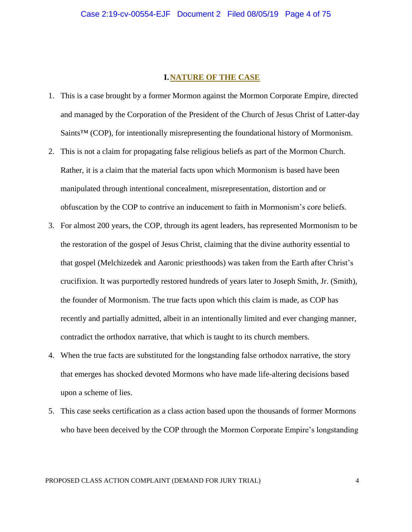### **I.NATURE OF THE CASE**

- 1. This is a case brought by a former Mormon against the Mormon Corporate Empire, directed and managed by the Corporation of the President of the Church of Jesus Christ of Latter-day Saints<sup>™</sup> (COP), for intentionally misrepresenting the foundational history of Mormonism.
- 2. This is not a claim for propagating false religious beliefs as part of the Mormon Church. Rather, it is a claim that the material facts upon which Mormonism is based have been manipulated through intentional concealment, misrepresentation, distortion and or obfuscation by the COP to contrive an inducement to faith in Mormonism's core beliefs.
- 3. For almost 200 years, the COP, through its agent leaders, has represented Mormonism to be the restoration of the gospel of Jesus Christ, claiming that the divine authority essential to that gospel (Melchizedek and Aaronic priesthoods) was taken from the Earth after Christ's crucifixion. It was purportedly restored hundreds of years later to Joseph Smith, Jr. (Smith), the founder of Mormonism. The true facts upon which this claim is made, as COP has recently and partially admitted, albeit in an intentionally limited and ever changing manner, contradict the orthodox narrative, that which is taught to its church members.
- 4. When the true facts are substituted for the longstanding false orthodox narrative, the story that emerges has shocked devoted Mormons who have made life-altering decisions based upon a scheme of lies.
- 5. This case seeks certification as a class action based upon the thousands of former Mormons who have been deceived by the COP through the Mormon Corporate Empire's longstanding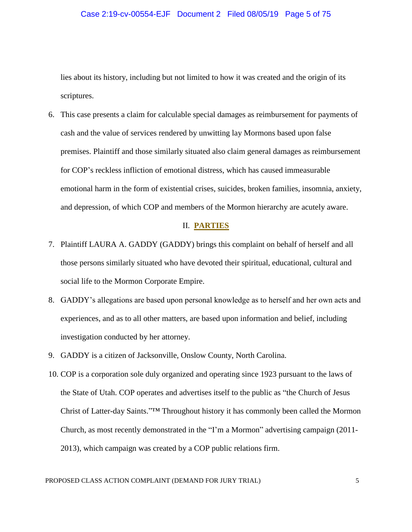#### Case 2:19-cv-00554-EJF Document 2 Filed 08/05/19 Page 5 of 75

lies about its history, including but not limited to how it was created and the origin of its scriptures.

6. This case presents a claim for calculable special damages as reimbursement for payments of cash and the value of services rendered by unwitting lay Mormons based upon false premises. Plaintiff and those similarly situated also claim general damages as reimbursement for COP's reckless infliction of emotional distress, which has caused immeasurable emotional harm in the form of existential crises, suicides, broken families, insomnia, anxiety, and depression, of which COP and members of the Mormon hierarchy are acutely aware.

### II. **PARTIES**

- 7. Plaintiff LAURA A. GADDY (GADDY) brings this complaint on behalf of herself and all those persons similarly situated who have devoted their spiritual, educational, cultural and social life to the Mormon Corporate Empire.
- 8. GADDY's allegations are based upon personal knowledge as to herself and her own acts and experiences, and as to all other matters, are based upon information and belief, including investigation conducted by her attorney.
- 9. GADDY is a citizen of Jacksonville, Onslow County, North Carolina.
- 10. COP is a corporation sole duly organized and operating since 1923 pursuant to the laws of the State of Utah. COP operates and advertises itself to the public as "the Church of Jesus Christ of Latter-day Saints."™ Throughout history it has commonly been called the Mormon Church, as most recently demonstrated in the "I'm a Mormon" advertising campaign (2011- 2013), which campaign was created by a COP public relations firm.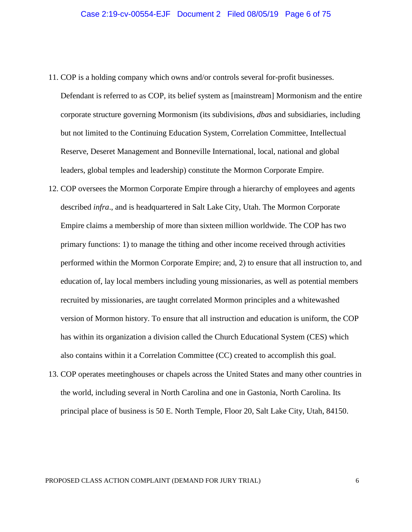- 11. COP is a holding company which owns and/or controls several for-profit businesses. Defendant is referred to as COP, its belief system as [mainstream] Mormonism and the entire corporate structure governing Mormonism (its subdivisions, *dba*s and subsidiaries, including but not limited to the Continuing Education System, Correlation Committee, Intellectual Reserve, Deseret Management and Bonneville International, local, national and global leaders, global temples and leadership) constitute the Mormon Corporate Empire.
- 12. COP oversees the Mormon Corporate Empire through a hierarchy of employees and agents described *infra*., and is headquartered in Salt Lake City, Utah. The Mormon Corporate Empire claims a membership of more than sixteen million worldwide. The COP has two primary functions: 1) to manage the tithing and other income received through activities performed within the Mormon Corporate Empire; and, 2) to ensure that all instruction to, and education of, lay local members including young missionaries, as well as potential members recruited by missionaries, are taught correlated Mormon principles and a whitewashed version of Mormon history. To ensure that all instruction and education is uniform, the COP has within its organization a division called the Church Educational System (CES) which also contains within it a Correlation Committee (CC) created to accomplish this goal.
- 13. COP operates meetinghouses or chapels across the United States and many other countries in the world, including several in North Carolina and one in Gastonia, North Carolina. Its principal place of business is 50 E. North Temple, Floor 20, Salt Lake City, Utah, 84150.

#### PROPOSED CLASS ACTION COMPLAINT (DEMAND FOR JURY TRIAL) 6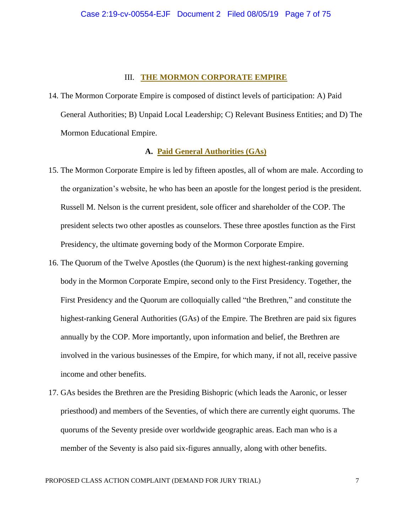#### III. **THE MORMON CORPORATE EMPIRE**

14. The Mormon Corporate Empire is composed of distinct levels of participation: A) Paid General Authorities; B) Unpaid Local Leadership; C) Relevant Business Entities; and D) The Mormon Educational Empire.

### **A. Paid General Authorities (GAs)**

- 15. The Mormon Corporate Empire is led by fifteen apostles, all of whom are male. According to the organization's website, he who has been an apostle for the longest period is the president. Russell M. Nelson is the current president, sole officer and shareholder of the COP. The president selects two other apostles as counselors. These three apostles function as the First Presidency, the ultimate governing body of the Mormon Corporate Empire.
- 16. The Quorum of the Twelve Apostles (the Quorum) is the next highest-ranking governing body in the Mormon Corporate Empire, second only to the First Presidency. Together, the First Presidency and the Quorum are colloquially called "the Brethren," and constitute the highest-ranking General Authorities (GAs) of the Empire. The Brethren are paid six figures annually by the COP. More importantly, upon information and belief, the Brethren are involved in the various businesses of the Empire, for which many, if not all, receive passive income and other benefits.
- 17. GAs besides the Brethren are the Presiding Bishopric (which leads the Aaronic, or lesser priesthood) and members of the Seventies, of which there are currently eight quorums. The quorums of the Seventy preside over worldwide geographic areas. Each man who is a member of the Seventy is also paid six-figures annually, along with other benefits.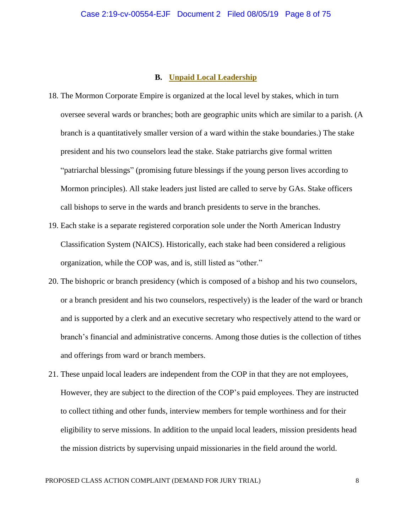#### **B. Unpaid Local Leadership**

- 18. The Mormon Corporate Empire is organized at the local level by stakes, which in turn oversee several wards or branches; both are geographic units which are similar to a parish. (A branch is a quantitatively smaller version of a ward within the stake boundaries.) The stake president and his two counselors lead the stake. Stake patriarchs give formal written "patriarchal blessings" (promising future blessings if the young person lives according to Mormon principles). All stake leaders just listed are called to serve by GAs. Stake officers call bishops to serve in the wards and branch presidents to serve in the branches.
- 19. Each stake is a separate registered corporation sole under the North American Industry Classification System (NAICS). Historically, each stake had been considered a religious organization, while the COP was, and is, still listed as "other."
- 20. The bishopric or branch presidency (which is composed of a bishop and his two counselors, or a branch president and his two counselors, respectively) is the leader of the ward or branch and is supported by a clerk and an executive secretary who respectively attend to the ward or branch's financial and administrative concerns. Among those duties is the collection of tithes and offerings from ward or branch members.
- 21. These unpaid local leaders are independent from the COP in that they are not employees, However, they are subject to the direction of the COP's paid employees. They are instructed to collect tithing and other funds, interview members for temple worthiness and for their eligibility to serve missions. In addition to the unpaid local leaders, mission presidents head the mission districts by supervising unpaid missionaries in the field around the world.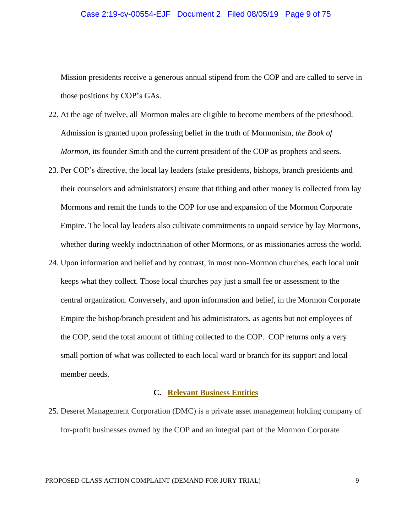#### Case 2:19-cv-00554-EJF Document 2 Filed 08/05/19 Page 9 of 75

Mission presidents receive a generous annual stipend from the COP and are called to serve in those positions by COP's GAs.

- 22. At the age of twelve, all Mormon males are eligible to become members of the priesthood. Admission is granted upon professing belief in the truth of Mormonism, *the Book of Mormon*, its founder Smith and the current president of the COP as prophets and seers.
- 23. Per COP's directive, the local lay leaders (stake presidents, bishops, branch presidents and their counselors and administrators) ensure that tithing and other money is collected from lay Mormons and remit the funds to the COP for use and expansion of the Mormon Corporate Empire. The local lay leaders also cultivate commitments to unpaid service by lay Mormons, whether during weekly indoctrination of other Mormons, or as missionaries across the world.
- 24. Upon information and belief and by contrast, in most non-Mormon churches, each local unit keeps what they collect. Those local churches pay just a small fee or assessment to the central organization. Conversely, and upon information and belief, in the Mormon Corporate Empire the bishop/branch president and his administrators, as agents but not employees of the COP, send the total amount of tithing collected to the COP. COP returns only a very small portion of what was collected to each local ward or branch for its support and local member needs.

### **C. Relevant Business Entities**

25. Deseret Management Corporation (DMC) is a private asset management holding company of for-profit businesses owned by the COP and an integral part of the Mormon Corporate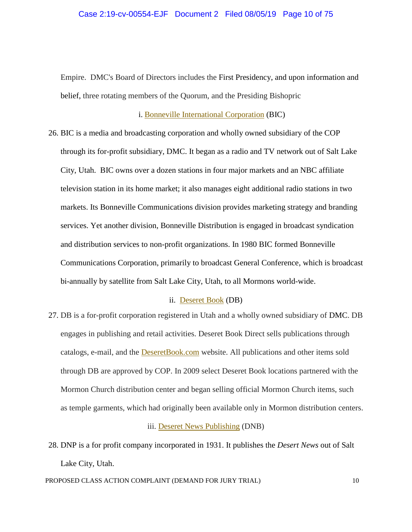Empire. DMC's Board of Directors includes the First Presidency, and upon information and belief, three rotating members of the Quorum, and the Presiding Bishopric

i. Bonneville International Corporation (BIC)

26. BIC is a media and broadcasting corporation and wholly owned subsidiary of the COP through its for-profit subsidiary, DMC. It began as a radio and TV network out of Salt Lake City, Utah. BIC owns over a dozen stations in four major markets and an NBC affiliate television station in its home market; it also manages eight additional radio stations in two markets. Its Bonneville Communications division provides marketing strategy and branding services. Yet another division, Bonneville Distribution is engaged in broadcast syndication and distribution services to non-profit organizations. In 1980 BIC formed Bonneville Communications Corporation, primarily to broadcast General Conference, which is broadcast bi-annually by satellite from Salt Lake City, Utah, to all Mormons world-wide.

#### ii. Deseret Book (DB)

27. DB is a for-profit corporation registered in Utah and a wholly owned subsidiary of DMC. DB engages in publishing and retail activities. Deseret Book Direct sells publications through catalogs, e-mail, and the DeseretBook.com website. All publications and other items sold through DB are approved by COP. In 2009 select Deseret Book locations partnered with the Mormon Church distribution center and began selling official Mormon Church items, such as temple garments, which had originally been available only in Mormon distribution centers.

#### iii. Deseret News Publishing (DNB)

28. DNP is a for profit company incorporated in 1931. It publishes the *Desert News* out of Salt Lake City, Utah.

PROPOSED CLASS ACTION COMPLAINT (DEMAND FOR JURY TRIAL) 10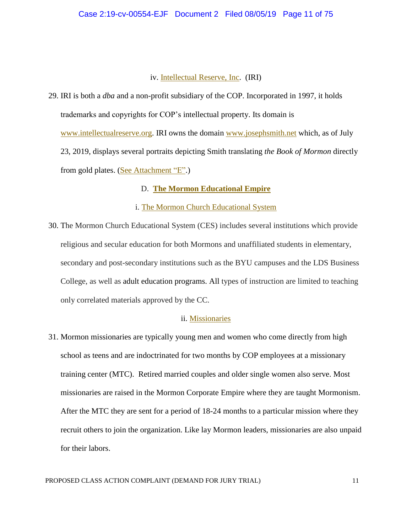### iv. Intellectual Reserve, Inc. (IRI)

29. IRI is both a *dba* and a non-profit subsidiary of the COP. Incorporated in 1997, it holds trademarks and copyrights for COP's intellectual property. Its domain is www.intellectualreserve.org. IRI owns the domain www.josephsmith.net which, as of July 23, 2019, displays several portraits depicting Smith translating *the Book of Mormon* directly from gold plates. (See Attachment "E".)

# D. **The Mormon Educational Empire**

### i. The Mormon Church Educational System

30. The Mormon Church Educational System (CES) includes several institutions which provide religious and secular education for both Mormons and unaffiliated students in elementary, secondary and post-secondary institutions such as the BYU campuses and the LDS Business College, as well as adult education programs. All types of instruction are limited to teaching only correlated materials approved by the CC.

### ii. Missionaries

31. Mormon missionaries are typically young men and women who come directly from high school as teens and are indoctrinated for two months by COP employees at a missionary training center (MTC). Retired married couples and older single women also serve. Most missionaries are raised in the Mormon Corporate Empire where they are taught Mormonism. After the MTC they are sent for a period of 18-24 months to a particular mission where they recruit others to join the organization. Like lay Mormon leaders, missionaries are also unpaid for their labors.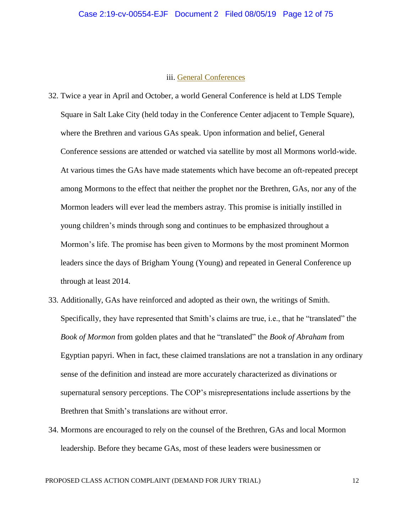#### Case 2:19-cv-00554-EJF Document 2 Filed 08/05/19 Page 12 of 75

### iii. General Conferences

- 32. Twice a year in April and October, a world General Conference is held at LDS Temple Square in Salt Lake City (held today in the Conference Center adjacent to Temple Square), where the Brethren and various GAs speak. Upon information and belief, General Conference sessions are attended or watched via satellite by most all Mormons world-wide. At various times the GAs have made statements which have become an oft-repeated precept among Mormons to the effect that neither the prophet nor the Brethren, GAs, nor any of the Mormon leaders will ever lead the members astray. This promise is initially instilled in young children's minds through song and continues to be emphasized throughout a Mormon's life. The promise has been given to Mormons by the most prominent Mormon leaders since the days of Brigham Young (Young) and repeated in General Conference up through at least 2014.
- 33. Additionally, GAs have reinforced and adopted as their own, the writings of Smith. Specifically, they have represented that Smith's claims are true, i.e., that he "translated" the *Book of Mormon* from golden plates and that he "translated" the *Book of Abraham* from Egyptian papyri. When in fact, these claimed translations are not a translation in any ordinary sense of the definition and instead are more accurately characterized as divinations or supernatural sensory perceptions. The COP's misrepresentations include assertions by the Brethren that Smith's translations are without error.
- 34. Mormons are encouraged to rely on the counsel of the Brethren, GAs and local Mormon leadership. Before they became GAs, most of these leaders were businessmen or

PROPOSED CLASS ACTION COMPLAINT (DEMAND FOR JURY TRIAL) 12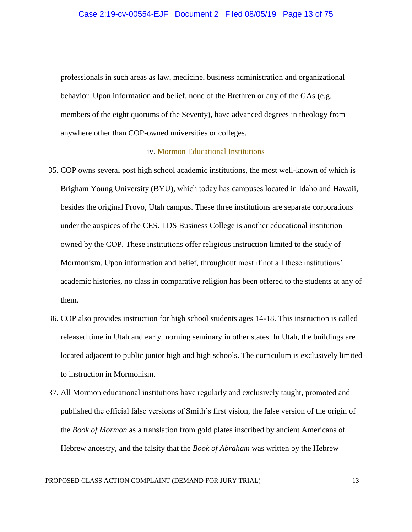professionals in such areas as law, medicine, business administration and organizational behavior. Upon information and belief, none of the Brethren or any of the GAs (e.g. members of the eight quorums of the Seventy), have advanced degrees in theology from anywhere other than COP-owned universities or colleges.

#### iv. Mormon Educational Institutions

- 35. COP owns several post high school academic institutions, the most well-known of which is Brigham Young University (BYU), which today has campuses located in Idaho and Hawaii, besides the original Provo, Utah campus. These three institutions are separate corporations under the auspices of the CES. LDS Business College is another educational institution owned by the COP. These institutions offer religious instruction limited to the study of Mormonism. Upon information and belief, throughout most if not all these institutions' academic histories, no class in comparative religion has been offered to the students at any of them.
- 36. COP also provides instruction for high school students ages 14-18. This instruction is called released time in Utah and early morning seminary in other states. In Utah, the buildings are located adjacent to public junior high and high schools. The curriculum is exclusively limited to instruction in Mormonism.
- 37. All Mormon educational institutions have regularly and exclusively taught, promoted and published the official false versions of Smith's first vision, the false version of the origin of the *Book of Mormon* as a translation from gold plates inscribed by ancient Americans of Hebrew ancestry, and the falsity that the *Book of Abraham* was written by the Hebrew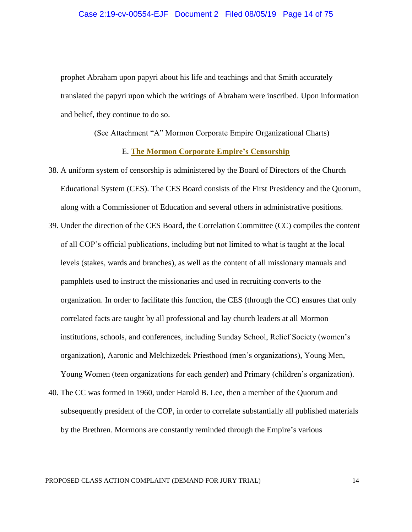#### Case 2:19-cv-00554-EJF Document 2 Filed 08/05/19 Page 14 of 75

prophet Abraham upon papyri about his life and teachings and that Smith accurately translated the papyri upon which the writings of Abraham were inscribed. Upon information and belief, they continue to do so.

(See Attachment "A" Mormon Corporate Empire Organizational Charts)

### E. **The Mormon Corporate Empire's Censorship**

- 38. A uniform system of censorship is administered by the Board of Directors of the Church Educational System (CES). The CES Board consists of the First Presidency and the Quorum, along with a Commissioner of Education and several others in administrative positions.
- 39. Under the direction of the CES Board, the Correlation Committee (CC) compiles the content of all COP's official publications, including but not limited to what is taught at the local levels (stakes, wards and branches), as well as the content of all missionary manuals and pamphlets used to instruct the missionaries and used in recruiting converts to the organization. In order to facilitate this function, the CES (through the CC) ensures that only correlated facts are taught by all professional and lay church leaders at all Mormon institutions, schools, and conferences, including Sunday School, Relief Society (women's organization), Aaronic and Melchizedek Priesthood (men's organizations), Young Men, Young Women (teen organizations for each gender) and Primary (children's organization).
- 40. The CC was formed in 1960, under Harold B. Lee, then a member of the Quorum and subsequently president of the COP, in order to correlate substantially all published materials by the Brethren. Mormons are constantly reminded through the Empire's various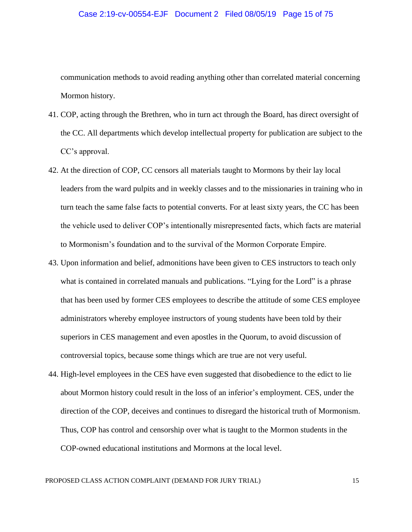#### Case 2:19-cv-00554-EJF Document 2 Filed 08/05/19 Page 15 of 75

communication methods to avoid reading anything other than correlated material concerning Mormon history.

- 41. COP, acting through the Brethren, who in turn act through the Board, has direct oversight of the CC. All departments which develop intellectual property for publication are subject to the CC's approval.
- 42. At the direction of COP, CC censors all materials taught to Mormons by their lay local leaders from the ward pulpits and in weekly classes and to the missionaries in training who in turn teach the same false facts to potential converts. For at least sixty years, the CC has been the vehicle used to deliver COP's intentionally misrepresented facts, which facts are material to Mormonism's foundation and to the survival of the Mormon Corporate Empire.
- 43. Upon information and belief, admonitions have been given to CES instructors to teach only what is contained in correlated manuals and publications. "Lying for the Lord" is a phrase that has been used by former CES employees to describe the attitude of some CES employee administrators whereby employee instructors of young students have been told by their superiors in CES management and even apostles in the Quorum, to avoid discussion of controversial topics, because some things which are true are not very useful.
- 44. High-level employees in the CES have even suggested that disobedience to the edict to lie about Mormon history could result in the loss of an inferior's employment. CES, under the direction of the COP, deceives and continues to disregard the historical truth of Mormonism. Thus, COP has control and censorship over what is taught to the Mormon students in the COP-owned educational institutions and Mormons at the local level.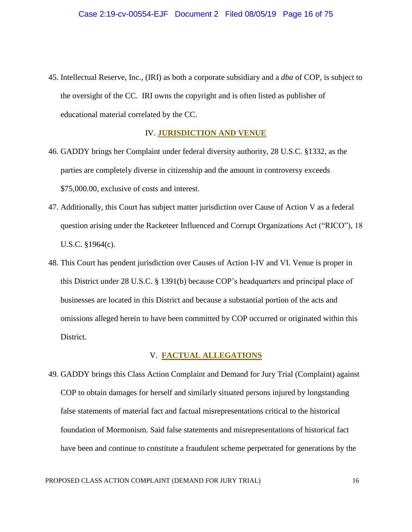45. Intellectual Reserve, Inc., (IRI) as both a corporate subsidiary and a *dba* of COP, is subject to the oversight of the CC. IRI owns the copyright and is often listed as publisher of educational material correlated by the CC.

#### IV. **JURISDICTION AND VENUE**

- 46. GADDY brings her Complaint under federal diversity authority, 28 U.S.C. §1332, as the parties are completely diverse in citizenship and the amount in controversy exceeds \$75,000.00, exclusive of costs and interest.
- 47. Additionally, this Court has subject matter jurisdiction over Cause of Action V as a federal question arising under the Racketeer Influenced and Corrupt Organizations Act ("RICO"), 18 U.S.C. §1964(c).
- 48. This Court has pendent jurisdiction over Causes of Action I-IV and VI. Venue is proper in this District under 28 U.S.C. § 1391(b) because COP's headquarters and principal place of businesses are located in this District and because a substantial portion of the acts and omissions alleged herein to have been committed by COP occurred or originated within this District.

### V. **FACTUAL ALLEGATIONS**

49. GADDY brings this Class Action Complaint and Demand for Jury Trial (Complaint) against COP to obtain damages for herself and similarly situated persons injured by longstanding false statements of material fact and factual misrepresentations critical to the historical foundation of Mormonism. Said false statements and misrepresentations of historical fact have been and continue to constitute a fraudulent scheme perpetrated for generations by the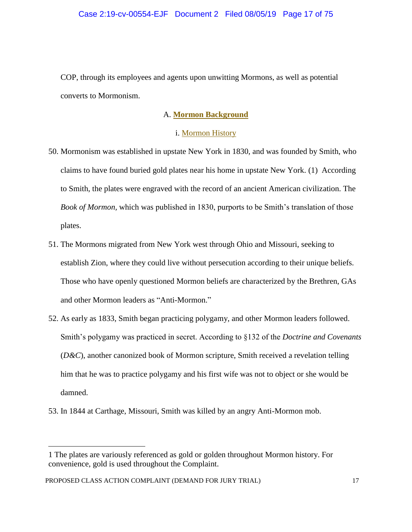COP, through its employees and agents upon unwitting Mormons, as well as potential converts to Mormonism.

### A. **Mormon Background**

### i. Mormon History

- 50. Mormonism was established in upstate New York in 1830, and was founded by Smith, who claims to have found buried gold plates near his home in upstate New York. (1) According to Smith, the plates were engraved with the record of an ancient American civilization. The *Book of Mormon,* which was published in 1830, purports to be Smith's translation of those plates.
- 51. The Mormons migrated from New York west through Ohio and Missouri, seeking to establish Zion, where they could live without persecution according to their unique beliefs. Those who have openly questioned Mormon beliefs are characterized by the Brethren, GAs and other Mormon leaders as "Anti-Mormon."
- 52. As early as 1833, Smith began practicing polygamy, and other Mormon leaders followed. Smith's polygamy was practiced in secret. According to §132 of the *Doctrine and Covenants* (*D&C*), another canonized book of Mormon scripture, Smith received a revelation telling him that he was to practice polygamy and his first wife was not to object or she would be damned.
- 53. In 1844 at Carthage, Missouri, Smith was killed by an angry Anti-Mormon mob.

<sup>1</sup> The plates are variously referenced as gold or golden throughout Mormon history. For convenience, gold is used throughout the Complaint.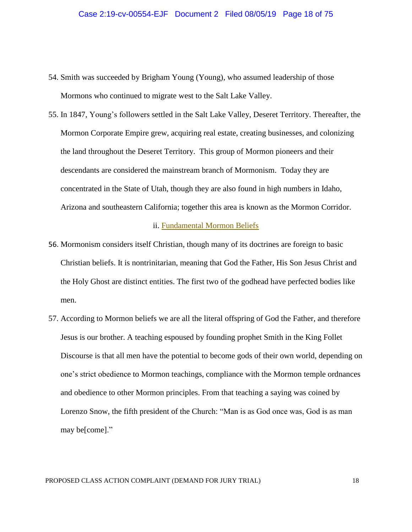#### Case 2:19-cv-00554-EJF Document 2 Filed 08/05/19 Page 18 of 75

- 54. Smith was succeeded by Brigham Young (Young), who assumed leadership of those Mormons who continued to migrate west to the Salt Lake Valley.
- 55. In 1847, Young's followers settled in the Salt Lake Valley, Deseret Territory. Thereafter, the Mormon Corporate Empire grew, acquiring real estate, creating businesses, and colonizing the land throughout the Deseret Territory. This group of Mormon pioneers and their descendants are considered the mainstream branch of Mormonism. Today they are concentrated in the State of Utah, though they are also found in high numbers in Idaho, Arizona and southeastern California; together this area is known as the Mormon Corridor.

#### ii. Fundamental Mormon Beliefs

- 56. Mormonism considers itself Christian, though many of its doctrines are foreign to basic Christian beliefs. It is nontrinitarian, meaning that God the Father, His Son Jesus Christ and the Holy Ghost are distinct entities. The first two of the godhead have perfected bodies like men.
- 57. According to Mormon beliefs we are all the literal offspring of God the Father, and therefore Jesus is our brother. A teaching espoused by founding prophet Smith in the King Follet Discourse is that all men have the potential to become gods of their own world, depending on one's strict obedience to Mormon teachings, compliance with the Mormon temple ordnances and obedience to other Mormon principles. From that teaching a saying was coined by Lorenzo Snow, the fifth president of the Church: "Man is as God once was, God is as man may be[come]."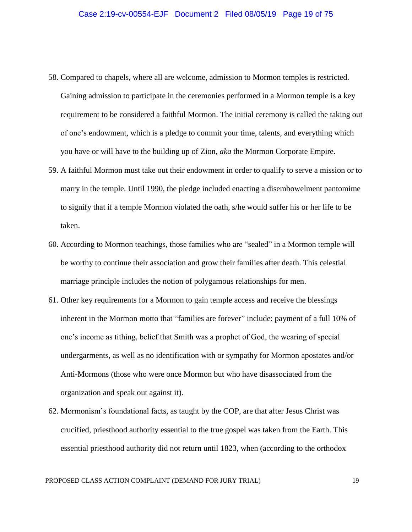- 58. Compared to chapels, where all are welcome, admission to Mormon temples is restricted. Gaining admission to participate in the ceremonies performed in a Mormon temple is a key requirement to be considered a faithful Mormon. The initial ceremony is called the taking out of one's endowment, which is a pledge to commit your time, talents, and everything which you have or will have to the building up of Zion, *aka* the Mormon Corporate Empire.
- 59. A faithful Mormon must take out their endowment in order to qualify to serve a mission or to marry in the temple. Until 1990, the pledge included enacting a disembowelment pantomime to signify that if a temple Mormon violated the oath, s/he would suffer his or her life to be taken.
- 60. According to Mormon teachings, those families who are "sealed" in a Mormon temple will be worthy to continue their association and grow their families after death. This celestial marriage principle includes the notion of polygamous relationships for men.
- 61. Other key requirements for a Mormon to gain temple access and receive the blessings inherent in the Mormon motto that "families are forever" include: payment of a full 10% of one's income as tithing, belief that Smith was a prophet of God, the wearing of special undergarments, as well as no identification with or sympathy for Mormon apostates and/or Anti-Mormons (those who were once Mormon but who have disassociated from the organization and speak out against it).
- 62. Mormonism's foundational facts, as taught by the COP, are that after Jesus Christ was crucified, priesthood authority essential to the true gospel was taken from the Earth. This essential priesthood authority did not return until 1823, when (according to the orthodox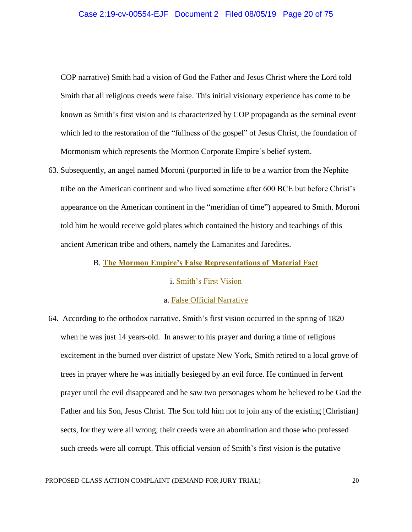COP narrative) Smith had a vision of God the Father and Jesus Christ where the Lord told Smith that all religious creeds were false. This initial visionary experience has come to be known as Smith's first vision and is characterized by COP propaganda as the seminal event which led to the restoration of the "fullness of the gospel" of Jesus Christ, the foundation of Mormonism which represents the Mormon Corporate Empire's belief system.

63. Subsequently, an angel named Moroni (purported in life to be a warrior from the Nephite tribe on the American continent and who lived sometime after 600 BCE but before Christ's appearance on the American continent in the "meridian of time") appeared to Smith. Moroni told him he would receive gold plates which contained the history and teachings of this ancient American tribe and others, namely the Lamanites and Jaredites.

#### B. **The Mormon Empire's False Representations of Material Fact**

### i. Smith's First Vision

### a. False Official Narrative

64. According to the orthodox narrative, Smith's first vision occurred in the spring of 1820 when he was just 14 years-old. In answer to his prayer and during a time of religious excitement in the burned over district of upstate New York, Smith retired to a local grove of trees in prayer where he was initially besieged by an evil force. He continued in fervent prayer until the evil disappeared and he saw two personages whom he believed to be God the Father and his Son, Jesus Christ. The Son told him not to join any of the existing [Christian] sects, for they were all wrong, their creeds were an abomination and those who professed such creeds were all corrupt. This official version of Smith's first vision is the putative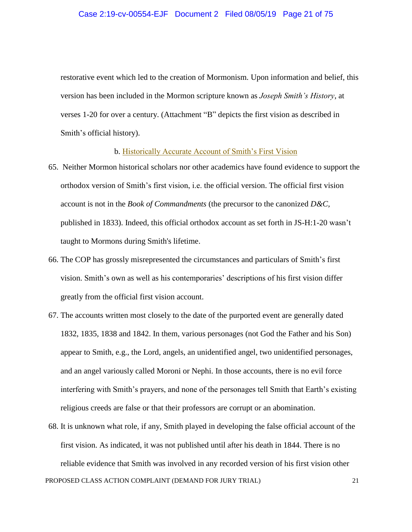restorative event which led to the creation of Mormonism. Upon information and belief, this version has been included in the Mormon scripture known as *Joseph Smith's History*, at verses 1-20 for over a century. (Attachment "B" depicts the first vision as described in Smith's official history).

### b. Historically Accurate Account of Smith's First Vision

- 65. Neither Mormon historical scholars nor other academics have found evidence to support the orthodox version of Smith's first vision, i.e. the official version. The official first vision account is not in the *Book of Commandments* (the precursor to the canonized *D&C,* published in 1833). Indeed, this official orthodox account as set forth in JS-H:1-20 wasn't taught to Mormons during Smith's lifetime.
- 66. The COP has grossly misrepresented the circumstances and particulars of Smith's first vision. Smith's own as well as his contemporaries' descriptions of his first vision differ greatly from the official first vision account.
- 67. The accounts written most closely to the date of the purported event are generally dated 1832, 1835, 1838 and 1842. In them, various personages (not God the Father and his Son) appear to Smith, e.g., the Lord, angels, an unidentified angel, two unidentified personages, and an angel variously called Moroni or Nephi. In those accounts, there is no evil force interfering with Smith's prayers, and none of the personages tell Smith that Earth's existing religious creeds are false or that their professors are corrupt or an abomination.
- PROPOSED CLASS ACTION COMPLAINT (DEMAND FOR JURY TRIAL) 21 68. It is unknown what role, if any, Smith played in developing the false official account of the first vision. As indicated, it was not published until after his death in 1844. There is no reliable evidence that Smith was involved in any recorded version of his first vision other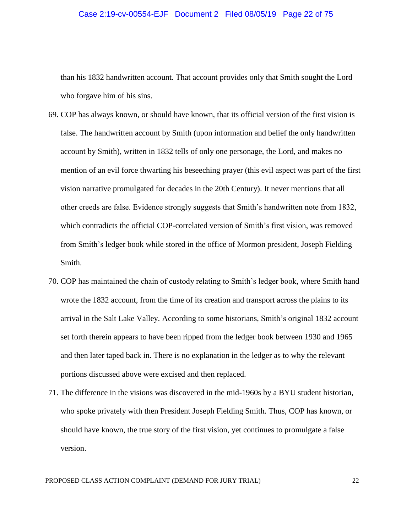#### Case 2:19-cv-00554-EJF Document 2 Filed 08/05/19 Page 22 of 75

than his 1832 handwritten account. That account provides only that Smith sought the Lord who forgave him of his sins.

- 69. COP has always known, or should have known, that its official version of the first vision is false. The handwritten account by Smith (upon information and belief the only handwritten account by Smith), written in 1832 tells of only one personage, the Lord, and makes no mention of an evil force thwarting his beseeching prayer (this evil aspect was part of the first vision narrative promulgated for decades in the 20th Century). It never mentions that all other creeds are false. Evidence strongly suggests that Smith's handwritten note from 1832, which contradicts the official COP-correlated version of Smith's first vision, was removed from Smith's ledger book while stored in the office of Mormon president, Joseph Fielding Smith.
- 70. COP has maintained the chain of custody relating to Smith's ledger book, where Smith hand wrote the 1832 account, from the time of its creation and transport across the plains to its arrival in the Salt Lake Valley. According to some historians, Smith's original 1832 account set forth therein appears to have been ripped from the ledger book between 1930 and 1965 and then later taped back in. There is no explanation in the ledger as to why the relevant portions discussed above were excised and then replaced.
- 71. The difference in the visions was discovered in the mid-1960s by a BYU student historian, who spoke privately with then President Joseph Fielding Smith. Thus, COP has known, or should have known, the true story of the first vision, yet continues to promulgate a false version.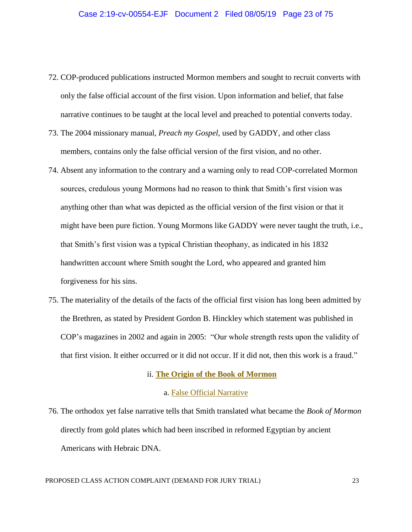- 72. COP-produced publications instructed Mormon members and sought to recruit converts with only the false official account of the first vision. Upon information and belief, that false narrative continues to be taught at the local level and preached to potential converts today.
- 73. The 2004 missionary manual, *Preach my Gospel*, used by GADDY, and other class members, contains only the false official version of the first vision, and no other.
- 74. Absent any information to the contrary and a warning only to read COP-correlated Mormon sources, credulous young Mormons had no reason to think that Smith's first vision was anything other than what was depicted as the official version of the first vision or that it might have been pure fiction. Young Mormons like GADDY were never taught the truth, i.e., that Smith's first vision was a typical Christian theophany, as indicated in his 1832 handwritten account where Smith sought the Lord, who appeared and granted him forgiveness for his sins.
- 75. The materiality of the details of the facts of the official first vision has long been admitted by the Brethren, as stated by President Gordon B. Hinckley which statement was published in COP's magazines in 2002 and again in 2005: "Our whole strength rests upon the validity of that first vision. It either occurred or it did not occur. If it did not, then this work is a fraud."

#### ii. **The Origin of the Book of Mormon**

### a. False Official Narrative

76. The orthodox yet false narrative tells that Smith translated what became the *Book of Mormon* directly from gold plates which had been inscribed in reformed Egyptian by ancient Americans with Hebraic DNA.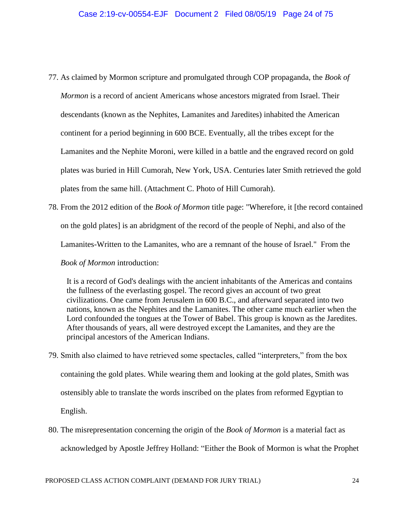- 77. As claimed by Mormon scripture and promulgated through COP propaganda, the *Book of Mormon* is a record of ancient Americans whose ancestors migrated from Israel. Their descendants (known as the Nephites, Lamanites and Jaredites) inhabited the American continent for a period beginning in 600 BCE. Eventually, all the tribes except for the Lamanites and the Nephite Moroni, were killed in a battle and the engraved record on gold plates was buried in Hill Cumorah, New York, USA. Centuries later Smith retrieved the gold plates from the same hill. (Attachment C. Photo of Hill Cumorah).
- 78. From the 2012 edition of the *Book of Mormon* title page: "Wherefore, it [the record contained on the gold plates] is an abridgment of the record of the people of Nephi, and also of the Lamanites-Written to the Lamanites, who are a remnant of the house of Israel." From the *Book of Mormon* introduction:

It is a record of God's dealings with the ancient inhabitants of the Americas and contains the fullness of the everlasting gospel. The record gives an account of two great civilizations. One came from Jerusalem in 600 B.C., and afterward separated into two nations, known as the Nephites and the Lamanites. The other came much earlier when the Lord confounded the tongues at the Tower of Babel. This group is known as the Jaredites. After thousands of years, all were destroyed except the Lamanites, and they are the principal ancestors of the American Indians.

- 79. Smith also claimed to have retrieved some spectacles, called "interpreters," from the box containing the gold plates. While wearing them and looking at the gold plates, Smith was ostensibly able to translate the words inscribed on the plates from reformed Egyptian to English.
- 80. The misrepresentation concerning the origin of the *Book of Mormon* is a material fact as acknowledged by Apostle Jeffrey Holland: "Either the Book of Mormon is what the Prophet

PROPOSED CLASS ACTION COMPLAINT (DEMAND FOR JURY TRIAL) 24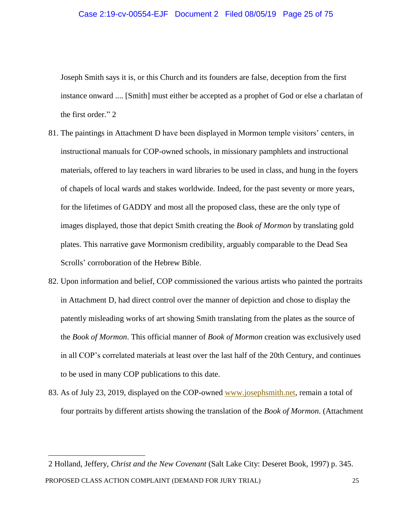#### Case 2:19-cv-00554-EJF Document 2 Filed 08/05/19 Page 25 of 75

Joseph Smith says it is, or this Church and its founders are false, deception from the first instance onward .... [Smith] must either be accepted as a prophet of God or else a charlatan of the first order." 2

- 81. The paintings in Attachment D have been displayed in Mormon temple visitors' centers, in instructional manuals for COP-owned schools, in missionary pamphlets and instructional materials, offered to lay teachers in ward libraries to be used in class, and hung in the foyers of chapels of local wards and stakes worldwide. Indeed, for the past seventy or more years, for the lifetimes of GADDY and most all the proposed class, these are the only type of images displayed, those that depict Smith creating the *Book of Mormon* by translating gold plates. This narrative gave Mormonism credibility, arguably comparable to the Dead Sea Scrolls' corroboration of the Hebrew Bible.
- 82. Upon information and belief, COP commissioned the various artists who painted the portraits in Attachment D, had direct control over the manner of depiction and chose to display the patently misleading works of art showing Smith translating from the plates as the source of the *Book of Mormon*. This official manner of *Book of Mormon* creation was exclusively used in all COP's correlated materials at least over the last half of the 20th Century, and continues to be used in many COP publications to this date.
- 83. As of July 23, 2019, displayed on the COP-owned www.josephsmith.net, remain a total of four portraits by different artists showing the translation of the *Book of Mormon*. (Attachment

PROPOSED CLASS ACTION COMPLAINT (DEMAND FOR JURY TRIAL) 25 2 Holland, Jeffery, *Christ and the New Covenant* (Salt Lake City: Deseret Book, 1997) p. 345.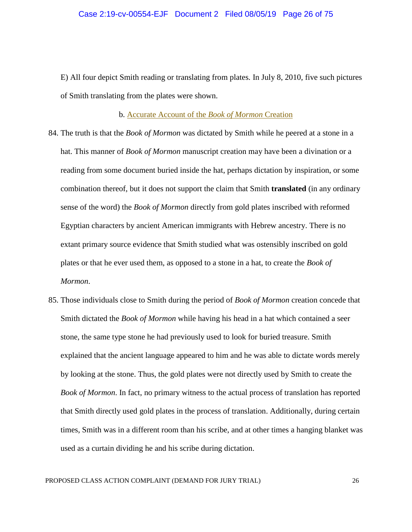#### Case 2:19-cv-00554-EJF Document 2 Filed 08/05/19 Page 26 of 75

E) All four depict Smith reading or translating from plates*.* In July 8, 2010, five such pictures of Smith translating from the plates were shown.

b. Accurate Account of the *Book of Mormon* Creation

- 84. The truth is that the *Book of Mormon* was dictated by Smith while he peered at a stone in a hat. This manner of *Book of Mormon* manuscript creation may have been a divination or a reading from some document buried inside the hat, perhaps dictation by inspiration, or some combination thereof, but it does not support the claim that Smith **translated** (in any ordinary sense of the word) the *Book of Mormon* directly from gold plates inscribed with reformed Egyptian characters by ancient American immigrants with Hebrew ancestry. There is no extant primary source evidence that Smith studied what was ostensibly inscribed on gold plates or that he ever used them, as opposed to a stone in a hat, to create the *Book of Mormon*.
- 85. Those individuals close to Smith during the period of *Book of Mormon* creation concede that Smith dictated the *Book of Mormon* while having his head in a hat which contained a seer stone, the same type stone he had previously used to look for buried treasure. Smith explained that the ancient language appeared to him and he was able to dictate words merely by looking at the stone. Thus, the gold plates were not directly used by Smith to create the *Book of Mormon*. In fact, no primary witness to the actual process of translation has reported that Smith directly used gold plates in the process of translation. Additionally, during certain times, Smith was in a different room than his scribe, and at other times a hanging blanket was used as a curtain dividing he and his scribe during dictation.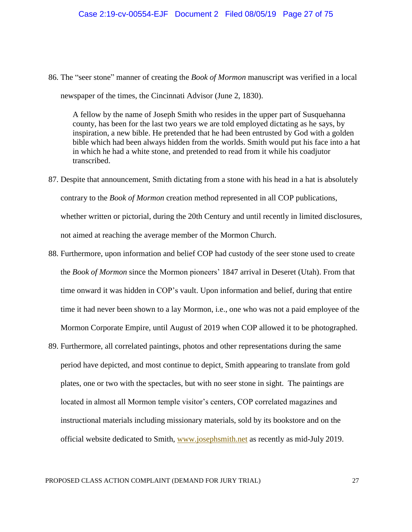86. The "seer stone" manner of creating the *Book of Mormon* manuscript was verified in a local

newspaper of the times, the Cincinnati Advisor (June 2, 1830).

A fellow by the name of Joseph Smith who resides in the upper part of Susquehanna county, has been for the last two years we are told employed dictating as he says, by inspiration, a new bible. He pretended that he had been entrusted by God with a golden bible which had been always hidden from the worlds. Smith would put his face into a hat in which he had a white stone, and pretended to read from it while his coadjutor transcribed.

- 87. Despite that announcement, Smith dictating from a stone with his head in a hat is absolutely contrary to the *Book of Mormon* creation method represented in all COP publications, whether written or pictorial, during the 20th Century and until recently in limited disclosures, not aimed at reaching the average member of the Mormon Church.
- 88. Furthermore, upon information and belief COP had custody of the seer stone used to create the *Book of Mormon* since the Mormon pioneers' 1847 arrival in Deseret (Utah). From that time onward it was hidden in COP's vault. Upon information and belief, during that entire time it had never been shown to a lay Mormon, i.e., one who was not a paid employee of the Mormon Corporate Empire, until August of 2019 when COP allowed it to be photographed.
- 89. Furthermore, all correlated paintings, photos and other representations during the same period have depicted, and most continue to depict, Smith appearing to translate from gold plates, one or two with the spectacles, but with no seer stone in sight. The paintings are located in almost all Mormon temple visitor's centers, COP correlated magazines and instructional materials including missionary materials, sold by its bookstore and on the official website dedicated to Smith, www.josephsmith.net as recently as mid-July 2019.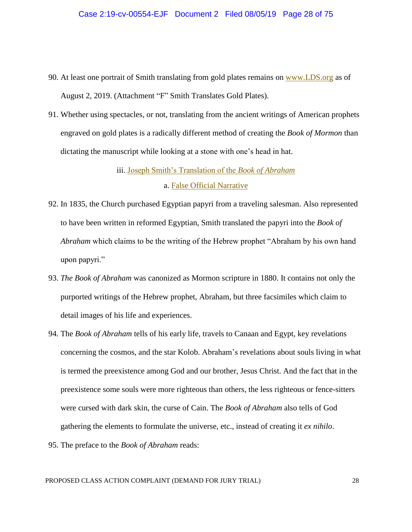- 90. At least one portrait of Smith translating from gold plates remains on www.LDS.org as of August 2, 2019. (Attachment "F" Smith Translates Gold Plates).
- 91. Whether using spectacles, or not, translating from the ancient writings of American prophets engraved on gold plates is a radically different method of creating the *Book of Mormon* than dictating the manuscript while looking at a stone with one's head in hat.

iii. Joseph Smith's Translation of the *Book of Abraham*

#### a. False Official Narrative

- 92. In 1835, the Church purchased Egyptian papyri from a traveling salesman. Also represented to have been written in reformed Egyptian, Smith translated the papyri into the *Book of Abraham* which claims to be the writing of the Hebrew prophet "Abraham by his own hand upon papyri."
- 93. *The Book of Abraham* was canonized as Mormon scripture in 1880. It contains not only the purported writings of the Hebrew prophet, Abraham, but three facsimiles which claim to detail images of his life and experiences.
- 94. The *Book of Abraham* tells of his early life, travels to Canaan and Egypt, key revelations concerning the cosmos, and the star Kolob. Abraham's revelations about souls living in what is termed the preexistence among God and our brother, Jesus Christ. And the fact that in the preexistence some souls were more righteous than others, the less righteous or fence-sitters were cursed with dark skin, the curse of Cain. The *Book of Abraham* also tells of God gathering the elements to formulate the universe, etc., instead of creating it *ex nihilo*.
- 95. The preface to the *Book of Abraham* reads: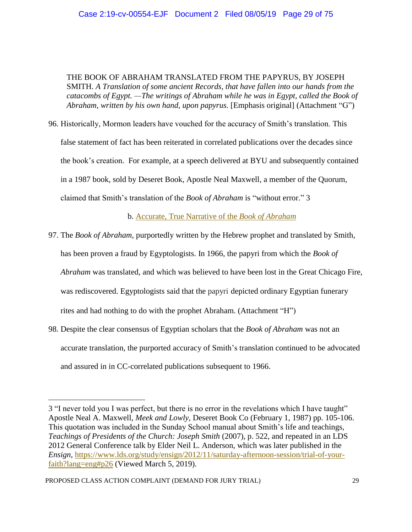THE BOOK OF ABRAHAM TRANSLATED FROM THE PAPYRUS, BY JOSEPH SMITH. *A Translation of some ancient Records, that have fallen into our hands from the catacombs of Egypt. —The writings of Abraham while he was in Egypt, called the Book of Abraham, written by his own hand, upon papyrus.* [Emphasis original] (Attachment "G")

96. Historically, Mormon leaders have vouched for the accuracy of Smith's translation. This false statement of fact has been reiterated in correlated publications over the decades since the book's creation. For example, at a speech delivered at BYU and subsequently contained in a 1987 book, sold by Deseret Book, Apostle Neal Maxwell, a member of the Quorum, claimed that Smith's translation of the *Book of Abraham* is "without error." 3

b. Accurate, True Narrative of the *Book of Abraham*

- 97. The *Book of Abraham*, purportedly written by the Hebrew prophet and translated by Smith, has been proven a fraud by Egyptologists. In 1966, the papyri from which the *Book of Abraham* was translated, and which was believed to have been lost in the Great Chicago Fire, was rediscovered. Egyptologists said that the papyri depicted ordinary Egyptian funerary rites and had nothing to do with the prophet Abraham. (Attachment "H")
- 98. Despite the clear consensus of Egyptian scholars that the *Book of Abraham* was not an accurate translation, the purported accuracy of Smith's translation continued to be advocated and assured in in CC-correlated publications subsequent to 1966.

<sup>3</sup> "I never told you I was perfect, but there is no error in the revelations which I have taught" Apostle Neal A. Maxwell, *Meek and Lowly*, Deseret Book Co (February 1, 1987) pp. 105-106. This quotation was included in the Sunday School manual about Smith's life and teachings, *Teachings of Presidents of the Church: Joseph Smith* (2007), p. 522, and repeated in an LDS 2012 General Conference talk by Elder Neil L. Anderson, which was later published in the *Ensign*, https://www.lds.org/study/ensign/2012/11/saturday-afternoon-session/trial-of-yourfaith?lang=eng#p26 (Viewed March 5, 2019).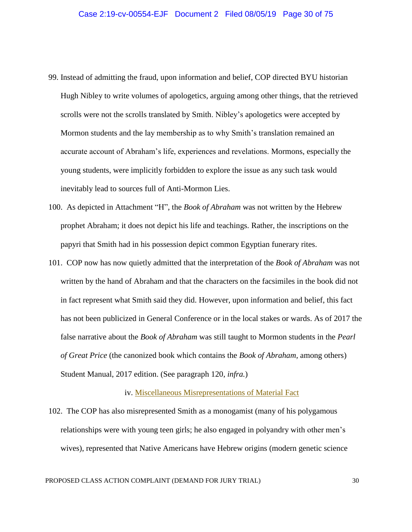- 99. Instead of admitting the fraud, upon information and belief, COP directed BYU historian Hugh Nibley to write volumes of apologetics, arguing among other things, that the retrieved scrolls were not the scrolls translated by Smith. Nibley's apologetics were accepted by Mormon students and the lay membership as to why Smith's translation remained an accurate account of Abraham's life, experiences and revelations. Mormons, especially the young students, were implicitly forbidden to explore the issue as any such task would inevitably lead to sources full of Anti-Mormon Lies.
- 100. As depicted in Attachment "H", the *Book of Abraham* was not written by the Hebrew prophet Abraham; it does not depict his life and teachings. Rather, the inscriptions on the papyri that Smith had in his possession depict common Egyptian funerary rites.
- 101. COP now has now quietly admitted that the interpretation of the *Book of Abraham* was not written by the hand of Abraham and that the characters on the facsimiles in the book did not in fact represent what Smith said they did. However, upon information and belief, this fact has not been publicized in General Conference or in the local stakes or wards. As of 2017 the false narrative about the *Book of Abraham* was still taught to Mormon students in the *Pearl of Great Price* (the canonized book which contains the *Book of Abraham,* among others) Student Manual, 2017 edition. (See paragraph 120, *infra.*)

#### iv. Miscellaneous Misrepresentations of Material Fact

102. The COP has also misrepresented Smith as a monogamist (many of his polygamous relationships were with young teen girls; he also engaged in polyandry with other men's wives), represented that Native Americans have Hebrew origins (modern genetic science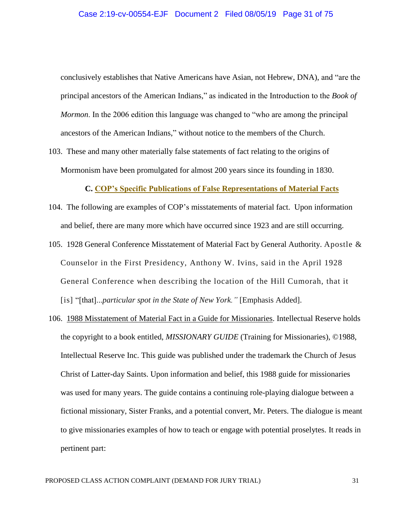conclusively establishes that Native Americans have Asian, not Hebrew, DNA), and "are the principal ancestors of the American Indians," as indicated in the Introduction to the *Book of Mormon*. In the 2006 edition this language was changed to "who are among the principal ancestors of the American Indians," without notice to the members of the Church.

103. These and many other materially false statements of fact relating to the origins of Mormonism have been promulgated for almost 200 years since its founding in 1830.

**C. COP's Specific Publications of False Representations of Material Facts**

- 104. The following are examples of COP's misstatements of material fact. Upon information and belief, there are many more which have occurred since 1923 and are still occurring.
- 105. 1928 General Conference Misstatement of Material Fact by General Authority. Apostle & Counselor in the First Presidency, Anthony W. Ivins, said in the April 1928 General Conference when describing the location of the Hill Cumorah, that it [is] "[that]...*particular spot in the State of New York*." [Emphasis Added].
- 106. 1988 Misstatement of Material Fact in a Guide for Missionaries. Intellectual Reserve holds the copyright to a book entitled, *MISSIONARY GUIDE* (Training for Missionaries), ©1988, Intellectual Reserve Inc. This guide was published under the trademark the Church of Jesus Christ of Latter-day Saints. Upon information and belief, this 1988 guide for missionaries was used for many years. The guide contains a continuing role-playing dialogue between a fictional missionary, Sister Franks, and a potential convert, Mr. Peters. The dialogue is meant to give missionaries examples of how to teach or engage with potential proselytes. It reads in pertinent part: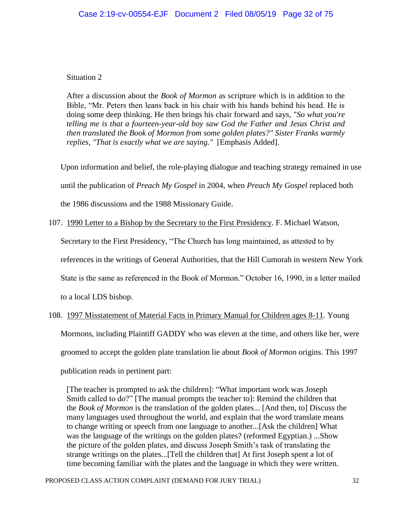# Situation 2

After a discussion about the *Book of Mormon* as scripture which is in addition to the Bible, "Mr. Peters then leans back in his chair with his hands behind his head. He is doing some deep thinking. He then brings his chair forward and says, "*So what you're telling me is that a fourteen-year-old boy saw God the Father and Jesus Christ and then translated the Book of Mormon from some golden plates?" Sister Franks warmly replies, "That is exactly what we are saying."* [Emphasis Added].

Upon information and belief, the role-playing dialogue and teaching strategy remained in use

until the publication of *Preach My Gospel* in 2004, when *Preach My Gospel* replaced both

the 1986 discussions and the 1988 Missionary Guide.

107. 1990 Letter to a Bishop by the Secretary to the First Presidency. F. Michael Watson,

Secretary to the First Presidency, "The Church has long maintained, as attested to by

references in the writings of General Authorities, that the Hill Cumorah in western New York

State is the same as referenced in the Book of Mormon." October 16, 1990, in a letter mailed

to a local LDS bishop.

108. 1997 Misstatement of Material Facts in Primary Manual for Children ages 8-11. Young

Mormons, including Plaintiff GADDY who was eleven at the time, and others like her, were

groomed to accept the golden plate translation lie about *Book of Mormon* origins. This 1997

publication reads in pertinent part:

[The teacher is prompted to ask the children]: "What important work was Joseph Smith called to do?" [The manual prompts the teacher to]: Remind the children that the *Book of Mormon* is the translation of the golden plates... [And then, to] Discuss the many languages used throughout the world, and explain that the word translate means to change writing or speech from one language to another...[Ask the children] What was the language of the writings on the golden plates? (reformed Egyptian.) ...Show the picture of the golden plates, and discuss Joseph Smith's task of translating the strange writings on the plates...[Tell the children that] At first Joseph spent a lot of time becoming familiar with the plates and the language in which they were written.

PROPOSED CLASS ACTION COMPLAINT (DEMAND FOR JURY TRIAL) 32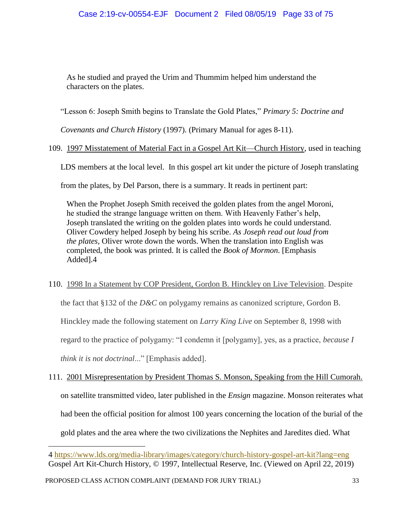As he studied and prayed the Urim and Thummim helped him understand the characters on the plates.

"Lesson 6: Joseph Smith begins to Translate the Gold Plates," *Primary 5: Doctrine and* 

*Covenants and Church History* (1997). (Primary Manual for ages 8-11).

# 109. 1997 Misstatement of Material Fact in a Gospel Art Kit—Church History, used in teaching

LDS members at the local level. In this gospel art kit under the picture of Joseph translating

from the plates, by Del Parson, there is a summary. It reads in pertinent part:

When the Prophet Joseph Smith received the golden plates from the angel Moroni, he studied the strange language written on them. With Heavenly Father's help, Joseph translated the writing on the golden plates into words he could understand. Oliver Cowdery helped Joseph by being his scribe. *As Joseph read out loud from the plates,* Oliver wrote down the words. When the translation into English was completed, the book was printed. It is called the *Book of Mormon*. [Emphasis Added].4

110. 1998 In a Statement by COP President, Gordon B. Hinckley on Live Television. Despite the fact that §132 of the *D&C* on polygamy remains as canonized scripture, Gordon B. Hinckley made the following statement on *Larry King Live* on September 8, 1998 with regard to the practice of polygamy: "I condemn it [polygamy], yes, as a practice, *because I think it is not doctrinal*..." [Emphasis added].

111. 2001 Misrepresentation by President Thomas S. Monson, Speaking from the Hill Cumorah. on satellite transmitted video, later published in the *Ensign* magazine. Monson reiterates what had been the official position for almost 100 years concerning the location of the burial of the gold plates and the area where the two civilizations the Nephites and Jaredites died. What

<sup>4</sup> https://www.lds.org/media-library/images/category/church-history-gospel-art-kit?lang=eng Gospel Art Kit-Church History, © 1997, Intellectual Reserve, Inc. (Viewed on April 22, 2019)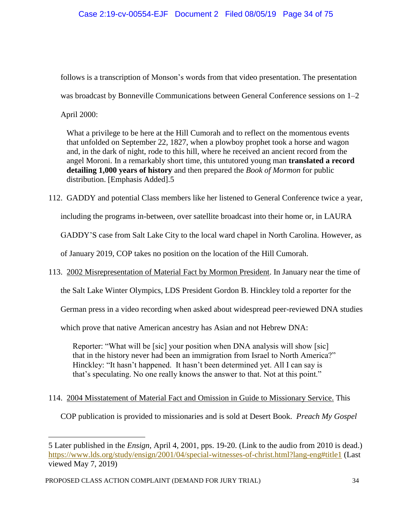follows is a transcription of Monson's words from that video presentation. The presentation

was broadcast by Bonneville Communications between General Conference sessions on 1–2

April 2000:

What a privilege to be here at the Hill Cumorah and to reflect on the momentous events that unfolded on September 22, 1827, when a plowboy prophet took a horse and wagon and, in the dark of night, rode to this hill, where he received an ancient record from the angel Moroni. In a remarkably short time, this untutored young man **translated a record detailing 1,000 years of history** and then prepared the *Book of Mormon* for public distribution. [Emphasis Added].5

112. GADDY and potential Class members like her listened to General Conference twice a year,

including the programs in-between, over satellite broadcast into their home or, in LAURA

GADDY'S case from Salt Lake City to the local ward chapel in North Carolina. However, as

of January 2019, COP takes no position on the location of the Hill Cumorah.

113. 2002 Misrepresentation of Material Fact by Mormon President. In January near the time of

the Salt Lake Winter Olympics, LDS President Gordon B. Hinckley told a reporter for the

German press in a video recording when asked about widespread peer-reviewed DNA studies

which prove that native American ancestry has Asian and not Hebrew DNA:

Reporter: "What will be [sic] your position when DNA analysis will show [sic] that in the history never had been an immigration from Israel to North America?" Hinckley: "It hasn't happened. It hasn't been determined yet. All I can say is that's speculating. No one really knows the answer to that. Not at this point."

# 114. 2004 Misstatement of Material Fact and Omission in Guide to Missionary Service. This

COP publication is provided to missionaries and is sold at Desert Book. *Preach My Gospel*

<sup>5</sup> Later published in the *Ensign*, April 4, 2001, pps. 19-20. (Link to the audio from 2010 is dead.) https://www.lds.org/study/ensign/2001/04/special-witnesses-of-christ.html?lang-eng#title1 (Last viewed May 7, 2019)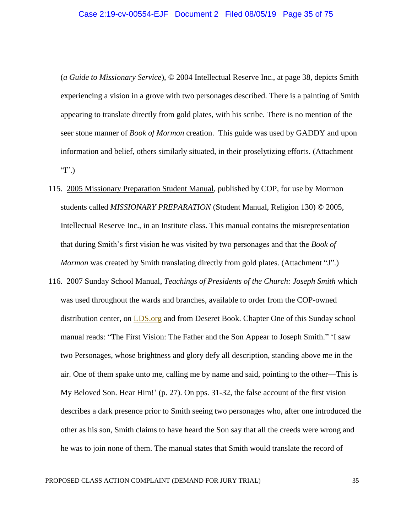(*a Guide to Missionary Service*), © 2004 Intellectual Reserve Inc., at page 38, depicts Smith experiencing a vision in a grove with two personages described. There is a painting of Smith appearing to translate directly from gold plates, with his scribe. There is no mention of the seer stone manner of *Book of Mormon* creation. This guide was used by GADDY and upon information and belief, others similarly situated, in their proselytizing efforts. (Attachment " $I$ ".)

- 115. 2005 Missionary Preparation Student Manual, published by COP, for use by Mormon students called *MISSIONARY PREPARATION* (Student Manual, Religion 130) © 2005, Intellectual Reserve Inc., in an Institute class. This manual contains the misrepresentation that during Smith's first vision he was visited by two personages and that the *Book of Mormon* was created by Smith translating directly from gold plates. (Attachment "J".)
- 116. 2007 Sunday School Manual, *Teachings of Presidents of the Church: Joseph Smith* which was used throughout the wards and branches, available to order from the COP-owned distribution center, on **LDS**.org and from Deseret Book. Chapter One of this Sunday school manual reads: "The First Vision: The Father and the Son Appear to Joseph Smith." 'I saw two Personages, whose brightness and glory defy all description, standing above me in the air. One of them spake unto me, calling me by name and said, pointing to the other—This is My Beloved Son. Hear Him!' (p. 27). On pps. 31-32, the false account of the first vision describes a dark presence prior to Smith seeing two personages who, after one introduced the other as his son, Smith claims to have heard the Son say that all the creeds were wrong and he was to join none of them. The manual states that Smith would translate the record of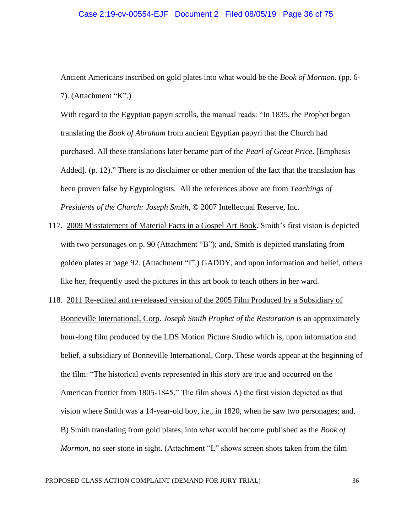#### Case 2:19-cv-00554-EJF Document 2 Filed 08/05/19 Page 36 of 75

Ancient Americans inscribed on gold plates into what would be the *Book of Mormon*. (pp. 6- 7). (Attachment "K".)

With regard to the Egyptian papyri scrolls, the manual reads: "In 1835, the Prophet began translating the *Book of Abraham* from ancient Egyptian papyri that the Church had purchased. All these translations later became part of the *Pearl of Great Price*. [Emphasis Added]. (p. 12)." There is no disclaimer or other mention of the fact that the translation has been proven false by Egyptologists. All the references above are from *Teachings of Presidents of the Church: Joseph Smith*, © 2007 Intellectual Reserve, Inc.

- 117. 2009 Misstatement of Material Facts in a Gospel Art Book. Smith's first vision is depicted with two personages on p. 90 (Attachment "B"); and, Smith is depicted translating from golden plates at page 92. (Attachment "I".) GADDY, and upon information and belief, others like her, frequently used the pictures in this art book to teach others in her ward.
- 118. 2011 Re-edited and re-released version of the 2005 Film Produced by a Subsidiary of Bonneville International, Corp. *Joseph Smith Prophet of the Restoration* is an approximately hour-long film produced by the LDS Motion Picture Studio which is, upon information and belief, a subsidiary of Bonneville International, Corp. These words appear at the beginning of the film: "The historical events represented in this story are true and occurred on the American frontier from 1805-1845." The film shows A) the first vision depicted as that vision where Smith was a 14-year-old boy, i.e., in 1820, when he saw two personages; and, B) Smith translating from gold plates, into what would become published as the *Book of Mormon*, no seer stone in sight. (Attachment "L" shows screen shots taken from the film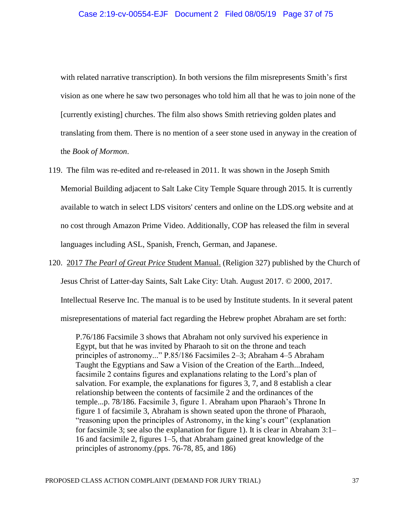with related narrative transcription). In both versions the film misrepresents Smith's first vision as one where he saw two personages who told him all that he was to join none of the [currently existing] churches. The film also shows Smith retrieving golden plates and translating from them. There is no mention of a seer stone used in anyway in the creation of the *Book of Mormon*.

- 119. The film was re-edited and re-released in 2011. It was shown in the Joseph Smith Memorial Building adjacent to Salt Lake City Temple Square through 2015. It is currently available to watch in select LDS visitors' centers and online on the LDS.org website and at no cost through Amazon Prime Video. Additionally, COP has released the film in several languages including ASL, Spanish, French, German, and Japanese.
- 120. 2017 *The Pearl of Great Price* Student Manual. (Religion 327) published by the Church of

Jesus Christ of Latter-day Saints, Salt Lake City: Utah. August 2017. © 2000, 2017.

Intellectual Reserve Inc. The manual is to be used by Institute students. In it several patent

misrepresentations of material fact regarding the Hebrew prophet Abraham are set forth:

P.76/186 Facsimile 3 shows that Abraham not only survived his experience in Egypt, but that he was invited by Pharaoh to sit on the throne and teach principles of astronomy..." P.85/186 Facsimiles 2–3; Abraham 4–5 Abraham Taught the Egyptians and Saw a Vision of the Creation of the Earth...Indeed, facsimile 2 contains figures and explanations relating to the Lord's plan of salvation. For example, the explanations for figures 3, 7, and 8 establish a clear relationship between the contents of facsimile 2 and the ordinances of the temple...p. 78/186. Facsimile 3, figure 1. Abraham upon Pharaoh's Throne In figure 1 of facsimile 3, Abraham is shown seated upon the throne of Pharaoh, "reasoning upon the principles of Astronomy, in the king's court" (explanation for facsimile 3; see also the explanation for figure 1). It is clear in Abraham 3:1– 16 and facsimile 2, figures 1–5, that Abraham gained great knowledge of the principles of astronomy.(pps. 76-78, 85, and 186)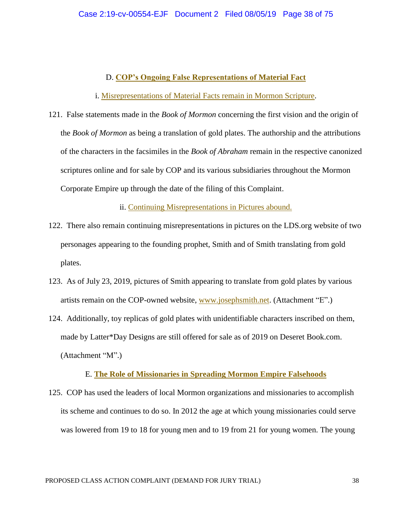# D. **COP's Ongoing False Representations of Material Fact**

i. Misrepresentations of Material Facts remain in Mormon Scripture.

121. False statements made in the *Book of Mormon* concerning the first vision and the origin of the *Book of Mormon* as being a translation of gold plates. The authorship and the attributions of the characters in the facsimiles in the *Book of Abraham* remain in the respective canonized scriptures online and for sale by COP and its various subsidiaries throughout the Mormon Corporate Empire up through the date of the filing of this Complaint.

ii. Continuing Misrepresentations in Pictures abound.

- 122. There also remain continuing misrepresentations in pictures on the LDS.org website of two personages appearing to the founding prophet, Smith and of Smith translating from gold plates.
- 123. As of July 23, 2019, pictures of Smith appearing to translate from gold plates by various artists remain on the COP-owned website, www.josephsmith.net. (Attachment "E".)
- 124. Additionally, toy replicas of gold plates with unidentifiable characters inscribed on them, made by Latter\*Day Designs are still offered for sale as of 2019 on Deseret Book.com. (Attachment "M".)

## E. **The Role of Missionaries in Spreading Mormon Empire Falsehoods**

125. COP has used the leaders of local Mormon organizations and missionaries to accomplish its scheme and continues to do so. In 2012 the age at which young missionaries could serve was lowered from 19 to 18 for young men and to 19 from 21 for young women. The young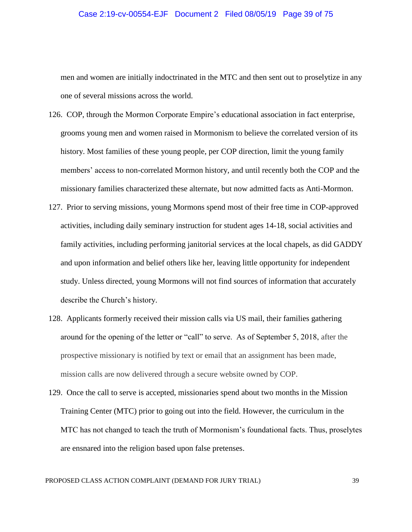### Case 2:19-cv-00554-EJF Document 2 Filed 08/05/19 Page 39 of 75

men and women are initially indoctrinated in the MTC and then sent out to proselytize in any one of several missions across the world.

- 126. COP, through the Mormon Corporate Empire's educational association in fact enterprise, grooms young men and women raised in Mormonism to believe the correlated version of its history. Most families of these young people, per COP direction, limit the young family members' access to non-correlated Mormon history, and until recently both the COP and the missionary families characterized these alternate, but now admitted facts as Anti-Mormon.
- 127. Prior to serving missions, young Mormons spend most of their free time in COP-approved activities, including daily seminary instruction for student ages 14-18, social activities and family activities, including performing janitorial services at the local chapels, as did GADDY and upon information and belief others like her, leaving little opportunity for independent study. Unless directed, young Mormons will not find sources of information that accurately describe the Church's history.
- 128. Applicants formerly received their mission calls via US mail, their families gathering around for the opening of the letter or "call" to serve. As of September 5, 2018, after the prospective missionary is notified by text or email that an assignment has been made, mission calls are now delivered through a secure website owned by COP.
- 129. Once the call to serve is accepted, missionaries spend about two months in the Mission Training Center (MTC) prior to going out into the field. However, the curriculum in the MTC has not changed to teach the truth of Mormonism's foundational facts. Thus, proselytes are ensnared into the religion based upon false pretenses.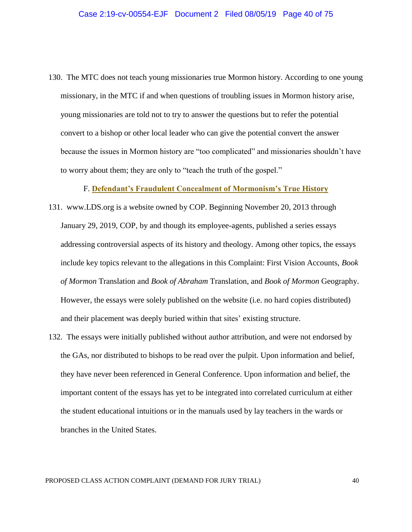130. The MTC does not teach young missionaries true Mormon history. According to one young missionary, in the MTC if and when questions of troubling issues in Mormon history arise, young missionaries are told not to try to answer the questions but to refer the potential convert to a bishop or other local leader who can give the potential convert the answer because the issues in Mormon history are "too complicated" and missionaries shouldn't have to worry about them; they are only to "teach the truth of the gospel."

F. **Defendant's Fraudulent Concealment of Mormonism's True History**

- 131. www.LDS.org is a website owned by COP. Beginning November 20, 2013 through January 29, 2019, COP, by and though its employee-agents, published a series essays addressing controversial aspects of its history and theology. Among other topics, the essays include key topics relevant to the allegations in this Complaint: First Vision Accounts, *Book of Mormon* Translation and *Book of Abraham* Translation, and *Book of Mormon* Geography. However, the essays were solely published on the website (i.e. no hard copies distributed) and their placement was deeply buried within that sites' existing structure.
- 132. The essays were initially published without author attribution, and were not endorsed by the GAs, nor distributed to bishops to be read over the pulpit. Upon information and belief, they have never been referenced in General Conference. Upon information and belief, the important content of the essays has yet to be integrated into correlated curriculum at either the student educational intuitions or in the manuals used by lay teachers in the wards or branches in the United States.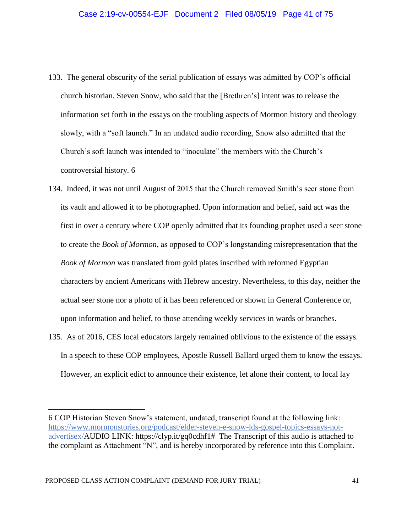- 133. The general obscurity of the serial publication of essays was admitted by COP's official church historian, Steven Snow, who said that the [Brethren's] intent was to release the information set forth in the essays on the troubling aspects of Mormon history and theology slowly, with a "soft launch." In an undated audio recording, Snow also admitted that the Church's soft launch was intended to "inoculate" the members with the Church's controversial history. 6
- 134. Indeed, it was not until August of 2015 that the Church removed Smith's seer stone from its vault and allowed it to be photographed. Upon information and belief, said act was the first in over a century where COP openly admitted that its founding prophet used a seer stone to create the *Book of Mormon*, as opposed to COP's longstanding misrepresentation that the *Book of Mormon* was translated from gold plates inscribed with reformed Egyptian characters by ancient Americans with Hebrew ancestry. Nevertheless, to this day, neither the actual seer stone nor a photo of it has been referenced or shown in General Conference or, upon information and belief, to those attending weekly services in wards or branches.
- 135. As of 2016, CES local educators largely remained oblivious to the existence of the essays. In a speech to these COP employees, Apostle Russell Ballard urged them to know the essays. However, an explicit edict to announce their existence, let alone their content, to local lay

<sup>6</sup> COP Historian Steven Snow's statement, undated, transcript found at the following link: https://www.mormonstories.org/podcast/elder-steven-e-snow-lds-gospel-topics-essays-notadvertisex/AUDIO LINK: https://clyp.it/gq0cdhf1# The Transcript of this audio is attached to the complaint as Attachment "N", and is hereby incorporated by reference into this Complaint.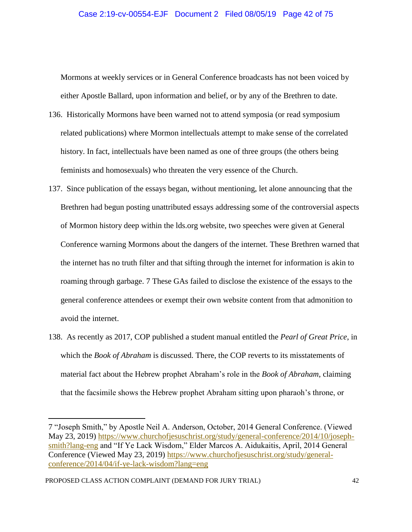### Case 2:19-cv-00554-EJF Document 2 Filed 08/05/19 Page 42 of 75

Mormons at weekly services or in General Conference broadcasts has not been voiced by either Apostle Ballard, upon information and belief, or by any of the Brethren to date.

- 136. Historically Mormons have been warned not to attend symposia (or read symposium related publications) where Mormon intellectuals attempt to make sense of the correlated history. In fact, intellectuals have been named as one of three groups (the others being feminists and homosexuals) who threaten the very essence of the Church.
- 137. Since publication of the essays began, without mentioning, let alone announcing that the Brethren had begun posting unattributed essays addressing some of the controversial aspects of Mormon history deep within the lds.org website, two speeches were given at General Conference warning Mormons about the dangers of the internet. These Brethren warned that the internet has no truth filter and that sifting through the internet for information is akin to roaming through garbage. 7 These GAs failed to disclose the existence of the essays to the general conference attendees or exempt their own website content from that admonition to avoid the internet.
- 138. As recently as 2017, COP published a student manual entitled the *Pearl of Great Price*, in which the *Book of Abraham* is discussed. There, the COP reverts to its misstatements of material fact about the Hebrew prophet Abraham's role in the *Book of Abraham*, claiming that the facsimile shows the Hebrew prophet Abraham sitting upon pharaoh's throne, or

<sup>7</sup> "Joseph Smith," by Apostle Neil A. Anderson, October, 2014 General Conference. (Viewed May 23, 2019) https://www.churchofjesuschrist.org/study/general-conference/2014/10/josephsmith?lang-eng and "If Ye Lack Wisdom," Elder Marcos A. Aidukaitis, April, 2014 General Conference (Viewed May 23, 2019) https://www.churchofjesuschrist.org/study/generalconference/2014/04/if-ye-lack-wisdom?lang=eng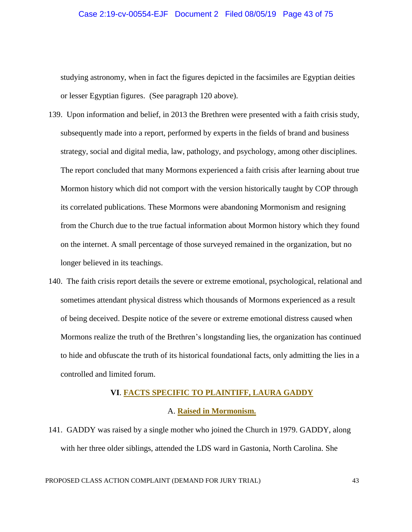### Case 2:19-cv-00554-EJF Document 2 Filed 08/05/19 Page 43 of 75

studying astronomy, when in fact the figures depicted in the facsimiles are Egyptian deities or lesser Egyptian figures. (See paragraph 120 above).

- 139. Upon information and belief, in 2013 the Brethren were presented with a faith crisis study, subsequently made into a report, performed by experts in the fields of brand and business strategy, social and digital media, law, pathology, and psychology, among other disciplines. The report concluded that many Mormons experienced a faith crisis after learning about true Mormon history which did not comport with the version historically taught by COP through its correlated publications. These Mormons were abandoning Mormonism and resigning from the Church due to the true factual information about Mormon history which they found on the internet. A small percentage of those surveyed remained in the organization, but no longer believed in its teachings.
- 140. The faith crisis report details the severe or extreme emotional, psychological, relational and sometimes attendant physical distress which thousands of Mormons experienced as a result of being deceived. Despite notice of the severe or extreme emotional distress caused when Mormons realize the truth of the Brethren's longstanding lies, the organization has continued to hide and obfuscate the truth of its historical foundational facts, only admitting the lies in a controlled and limited forum.

# **VI**. **FACTS SPECIFIC TO PLAINTIFF, LAURA GADDY**

### A. **Raised in Mormonism.**

141. GADDY was raised by a single mother who joined the Church in 1979. GADDY, along with her three older siblings, attended the LDS ward in Gastonia, North Carolina. She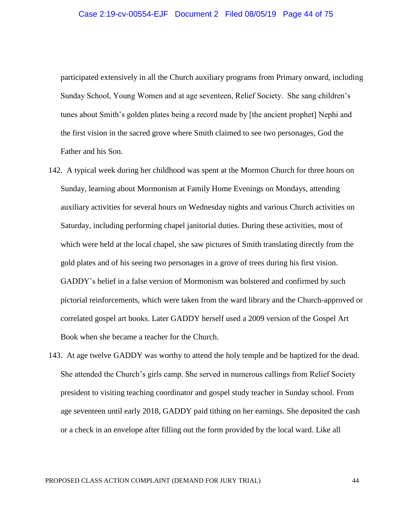participated extensively in all the Church auxiliary programs from Primary onward, including Sunday School, Young Women and at age seventeen, Relief Society. She sang children's tunes about Smith's golden plates being a record made by [the ancient prophet] Nephi and the first vision in the sacred grove where Smith claimed to see two personages, God the Father and his Son.

- 142. A typical week during her childhood was spent at the Mormon Church for three hours on Sunday, learning about Mormonism at Family Home Evenings on Mondays, attending auxiliary activities for several hours on Wednesday nights and various Church activities on Saturday, including performing chapel janitorial duties. During these activities, most of which were held at the local chapel, she saw pictures of Smith translating directly from the gold plates and of his seeing two personages in a grove of trees during his first vision. GADDY's belief in a false version of Mormonism was bolstered and confirmed by such pictorial reinforcements, which were taken from the ward library and the Church-approved or correlated gospel art books. Later GADDY herself used a 2009 version of the Gospel Art Book when she became a teacher for the Church.
- 143. At age twelve GADDY was worthy to attend the holy temple and be baptized for the dead. She attended the Church's girls camp. She served in numerous callings from Relief Society president to visiting teaching coordinator and gospel study teacher in Sunday school. From age seventeen until early 2018, GADDY paid tithing on her earnings. She deposited the cash or a check in an envelope after filling out the form provided by the local ward. Like all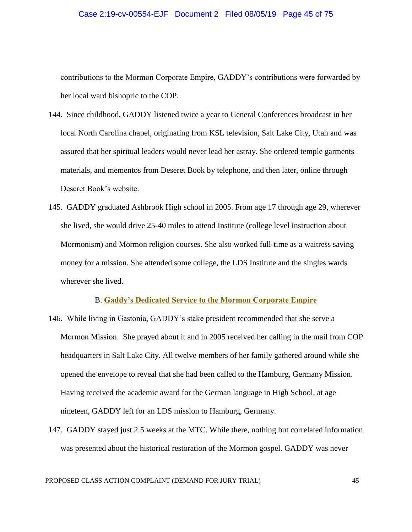#### Case 2:19-cv-00554-EJF Document 2 Filed 08/05/19 Page 45 of 75

contributions to the Mormon Corporate Empire, GADDY's contributions were forwarded by her local ward bishopric to the COP.

- 144. Since childhood, GADDY listened twice a year to General Conferences broadcast in her local North Carolina chapel, originating from KSL television, Salt Lake City, Utah and was assured that her spiritual leaders would never lead her astray. She ordered temple garments materials, and mementos from Deseret Book by telephone, and then later, online through Deseret Book's website.
- 145. GADDY graduated Ashbrook High school in 2005. From age 17 through age 29, wherever she lived, she would drive 25-40 miles to attend Institute (college level instruction about Mormonism) and Mormon religion courses. She also worked full-time as a waitress saving money for a mission. She attended some college, the LDS Institute and the singles wards wherever she lived.

# B. **Gaddy's Dedicated Service to the Mormon Corporate Empire**

- 146. While living in Gastonia, GADDY's stake president recommended that she serve a Mormon Mission. She prayed about it and in 2005 received her calling in the mail from COP headquarters in Salt Lake City. All twelve members of her family gathered around while she opened the envelope to reveal that she had been called to the Hamburg, Germany Mission. Having received the academic award for the German language in High School, at age nineteen, GADDY left for an LDS mission to Hamburg, Germany.
- 147. GADDY stayed just 2.5 weeks at the MTC. While there, nothing but correlated information was presented about the historical restoration of the Mormon gospel. GADDY was never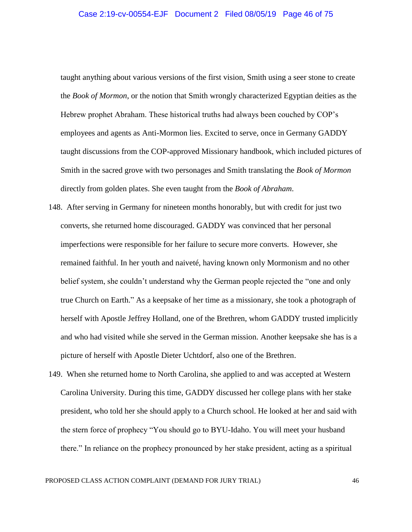### Case 2:19-cv-00554-EJF Document 2 Filed 08/05/19 Page 46 of 75

taught anything about various versions of the first vision, Smith using a seer stone to create the *Book of Mormon*, or the notion that Smith wrongly characterized Egyptian deities as the Hebrew prophet Abraham. These historical truths had always been couched by COP's employees and agents as Anti-Mormon lies. Excited to serve, once in Germany GADDY taught discussions from the COP-approved Missionary handbook, which included pictures of Smith in the sacred grove with two personages and Smith translating the *Book of Mormon* directly from golden plates. She even taught from the *Book of Abraham*.

- 148. After serving in Germany for nineteen months honorably, but with credit for just two converts, she returned home discouraged. GADDY was convinced that her personal imperfections were responsible for her failure to secure more converts. However, she remained faithful. In her youth and naiveté, having known only Mormonism and no other belief system, she couldn't understand why the German people rejected the "one and only true Church on Earth." As a keepsake of her time as a missionary, she took a photograph of herself with Apostle Jeffrey Holland, one of the Brethren, whom GADDY trusted implicitly and who had visited while she served in the German mission. Another keepsake she has is a picture of herself with Apostle Dieter Uchtdorf, also one of the Brethren.
- 149. When she returned home to North Carolina, she applied to and was accepted at Western Carolina University. During this time, GADDY discussed her college plans with her stake president, who told her she should apply to a Church school. He looked at her and said with the stern force of prophecy "You should go to BYU-Idaho. You will meet your husband there." In reliance on the prophecy pronounced by her stake president, acting as a spiritual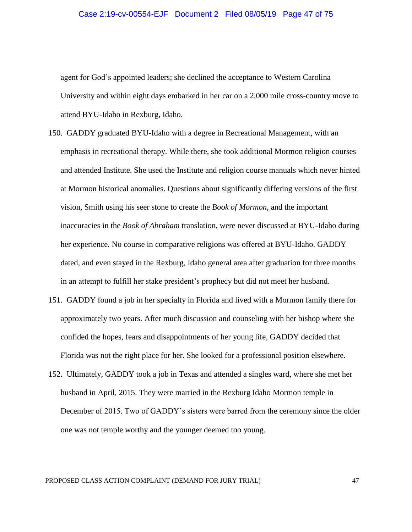### Case 2:19-cv-00554-EJF Document 2 Filed 08/05/19 Page 47 of 75

agent for God's appointed leaders; she declined the acceptance to Western Carolina University and within eight days embarked in her car on a 2,000 mile cross-country move to attend BYU-Idaho in Rexburg, Idaho.

- 150. GADDY graduated BYU-Idaho with a degree in Recreational Management, with an emphasis in recreational therapy. While there, she took additional Mormon religion courses and attended Institute. She used the Institute and religion course manuals which never hinted at Mormon historical anomalies. Questions about significantly differing versions of the first vision, Smith using his seer stone to create the *Book of Mormon*, and the important inaccuracies in the *Book of Abraham* translation, were never discussed at BYU-Idaho during her experience. No course in comparative religions was offered at BYU-Idaho. GADDY dated, and even stayed in the Rexburg, Idaho general area after graduation for three months in an attempt to fulfill her stake president's prophecy but did not meet her husband.
- 151. GADDY found a job in her specialty in Florida and lived with a Mormon family there for approximately two years. After much discussion and counseling with her bishop where she confided the hopes, fears and disappointments of her young life, GADDY decided that Florida was not the right place for her. She looked for a professional position elsewhere.
- 152. Ultimately, GADDY took a job in Texas and attended a singles ward, where she met her husband in April, 2015. They were married in the Rexburg Idaho Mormon temple in December of 2015. Two of GADDY's sisters were barred from the ceremony since the older one was not temple worthy and the younger deemed too young.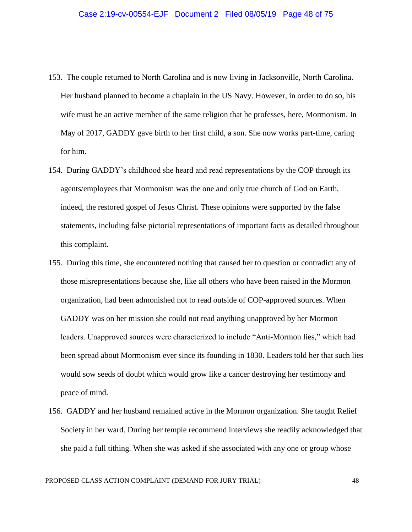- 153. The couple returned to North Carolina and is now living in Jacksonville, North Carolina. Her husband planned to become a chaplain in the US Navy. However, in order to do so, his wife must be an active member of the same religion that he professes, here, Mormonism. In May of 2017, GADDY gave birth to her first child, a son. She now works part-time, caring for him.
- 154. During GADDY's childhood she heard and read representations by the COP through its agents/employees that Mormonism was the one and only true church of God on Earth, indeed, the restored gospel of Jesus Christ. These opinions were supported by the false statements, including false pictorial representations of important facts as detailed throughout this complaint.
- 155. During this time, she encountered nothing that caused her to question or contradict any of those misrepresentations because she, like all others who have been raised in the Mormon organization, had been admonished not to read outside of COP-approved sources. When GADDY was on her mission she could not read anything unapproved by her Mormon leaders. Unapproved sources were characterized to include "Anti-Mormon lies," which had been spread about Mormonism ever since its founding in 1830. Leaders told her that such lies would sow seeds of doubt which would grow like a cancer destroying her testimony and peace of mind.
- 156. GADDY and her husband remained active in the Mormon organization. She taught Relief Society in her ward. During her temple recommend interviews she readily acknowledged that she paid a full tithing. When she was asked if she associated with any one or group whose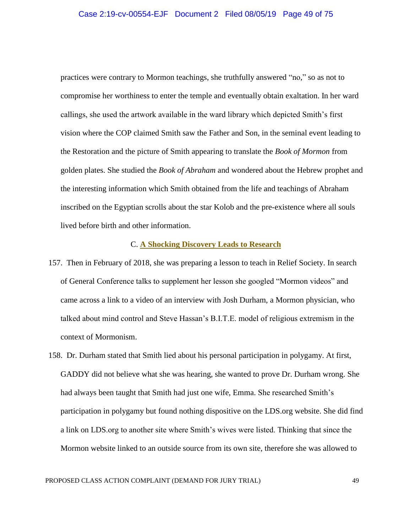practices were contrary to Mormon teachings, she truthfully answered "no," so as not to compromise her worthiness to enter the temple and eventually obtain exaltation. In her ward callings, she used the artwork available in the ward library which depicted Smith's first vision where the COP claimed Smith saw the Father and Son, in the seminal event leading to the Restoration and the picture of Smith appearing to translate the *Book of Mormon* from golden plates. She studied the *Book of Abraham* and wondered about the Hebrew prophet and the interesting information which Smith obtained from the life and teachings of Abraham inscribed on the Egyptian scrolls about the star Kolob and the pre-existence where all souls lived before birth and other information.

# C. **A Shocking Discovery Leads to Research**

- 157. Then in February of 2018, she was preparing a lesson to teach in Relief Society. In search of General Conference talks to supplement her lesson she googled "Mormon videos" and came across a link to a video of an interview with Josh Durham, a Mormon physician, who talked about mind control and Steve Hassan's B.I.T.E. model of religious extremism in the context of Mormonism.
- 158. Dr. Durham stated that Smith lied about his personal participation in polygamy. At first, GADDY did not believe what she was hearing, she wanted to prove Dr. Durham wrong. She had always been taught that Smith had just one wife, Emma. She researched Smith's participation in polygamy but found nothing dispositive on the LDS.org website. She did find a link on LDS.org to another site where Smith's wives were listed. Thinking that since the Mormon website linked to an outside source from its own site, therefore she was allowed to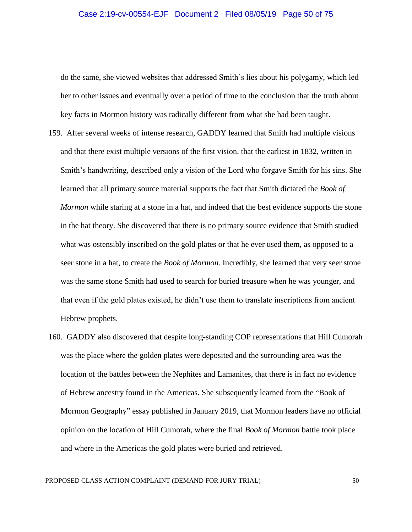do the same, she viewed websites that addressed Smith's lies about his polygamy, which led her to other issues and eventually over a period of time to the conclusion that the truth about key facts in Mormon history was radically different from what she had been taught.

- 159. After several weeks of intense research, GADDY learned that Smith had multiple visions and that there exist multiple versions of the first vision, that the earliest in 1832, written in Smith's handwriting, described only a vision of the Lord who forgave Smith for his sins. She learned that all primary source material supports the fact that Smith dictated the *Book of Mormon* while staring at a stone in a hat, and indeed that the best evidence supports the stone in the hat theory. She discovered that there is no primary source evidence that Smith studied what was ostensibly inscribed on the gold plates or that he ever used them, as opposed to a seer stone in a hat, to create the *Book of Mormon*. Incredibly, she learned that very seer stone was the same stone Smith had used to search for buried treasure when he was younger, and that even if the gold plates existed, he didn't use them to translate inscriptions from ancient Hebrew prophets.
- 160. GADDY also discovered that despite long-standing COP representations that Hill Cumorah was the place where the golden plates were deposited and the surrounding area was the location of the battles between the Nephites and Lamanites, that there is in fact no evidence of Hebrew ancestry found in the Americas. She subsequently learned from the "Book of Mormon Geography" essay published in January 2019, that Mormon leaders have no official opinion on the location of Hill Cumorah, where the final *Book of Mormon* battle took place and where in the Americas the gold plates were buried and retrieved.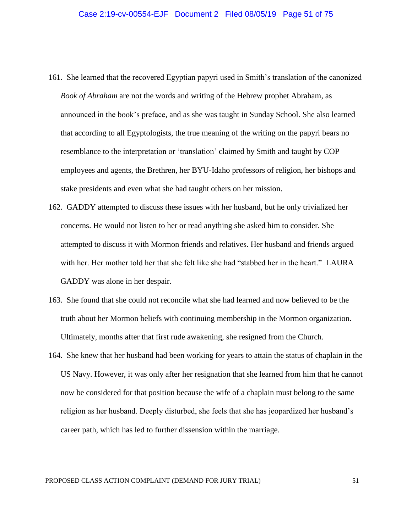- 161. She learned that the recovered Egyptian papyri used in Smith's translation of the canonized *Book of Abraham* are not the words and writing of the Hebrew prophet Abraham, as announced in the book's preface, and as she was taught in Sunday School. She also learned that according to all Egyptologists, the true meaning of the writing on the papyri bears no resemblance to the interpretation or 'translation' claimed by Smith and taught by COP employees and agents, the Brethren, her BYU-Idaho professors of religion, her bishops and stake presidents and even what she had taught others on her mission.
- 162. GADDY attempted to discuss these issues with her husband, but he only trivialized her concerns. He would not listen to her or read anything she asked him to consider. She attempted to discuss it with Mormon friends and relatives. Her husband and friends argued with her. Her mother told her that she felt like she had "stabbed her in the heart." LAURA GADDY was alone in her despair.
- 163. She found that she could not reconcile what she had learned and now believed to be the truth about her Mormon beliefs with continuing membership in the Mormon organization. Ultimately, months after that first rude awakening, she resigned from the Church.
- 164. She knew that her husband had been working for years to attain the status of chaplain in the US Navy. However, it was only after her resignation that she learned from him that he cannot now be considered for that position because the wife of a chaplain must belong to the same religion as her husband. Deeply disturbed, she feels that she has jeopardized her husband's career path, which has led to further dissension within the marriage.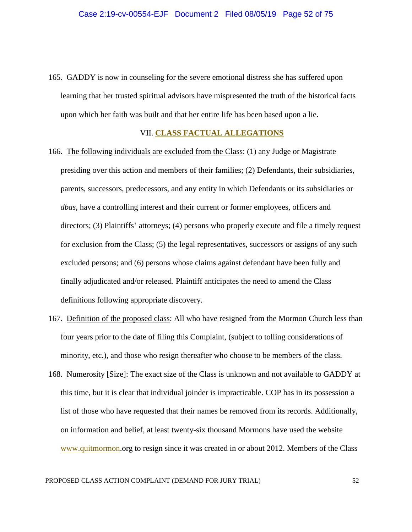165. GADDY is now in counseling for the severe emotional distress she has suffered upon learning that her trusted spiritual advisors have mispresented the truth of the historical facts upon which her faith was built and that her entire life has been based upon a lie.

## VII. **CLASS FACTUAL ALLEGATIONS**

- 166. The following individuals are excluded from the Class: (1) any Judge or Magistrate presiding over this action and members of their families; (2) Defendants, their subsidiaries, parents, successors, predecessors, and any entity in which Defendants or its subsidiaries or *dbas*, have a controlling interest and their current or former employees, officers and directors; (3) Plaintiffs' attorneys; (4) persons who properly execute and file a timely request for exclusion from the Class; (5) the legal representatives, successors or assigns of any such excluded persons; and (6) persons whose claims against defendant have been fully and finally adjudicated and/or released. Plaintiff anticipates the need to amend the Class definitions following appropriate discovery.
- 167. Definition of the proposed class: All who have resigned from the Mormon Church less than four years prior to the date of filing this Complaint, (subject to tolling considerations of minority, etc.), and those who resign thereafter who choose to be members of the class.
- 168. Numerosity [Size]: The exact size of the Class is unknown and not available to GADDY at this time, but it is clear that individual joinder is impracticable. COP has in its possession a list of those who have requested that their names be removed from its records. Additionally, on information and belief, at least twenty-six thousand Mormons have used the website www.quitmormon.org to resign since it was created in or about 2012. Members of the Class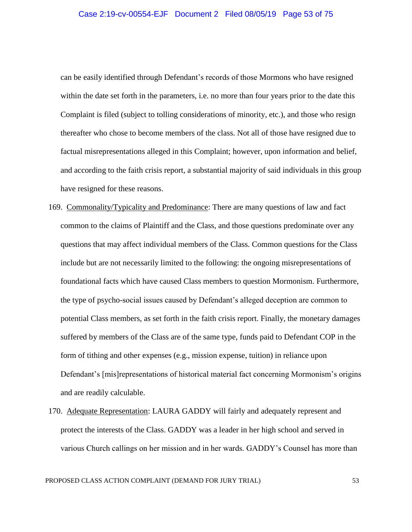can be easily identified through Defendant's records of those Mormons who have resigned within the date set forth in the parameters, i.e. no more than four years prior to the date this Complaint is filed (subject to tolling considerations of minority, etc.), and those who resign thereafter who chose to become members of the class. Not all of those have resigned due to factual misrepresentations alleged in this Complaint; however, upon information and belief, and according to the faith crisis report, a substantial majority of said individuals in this group have resigned for these reasons.

- 169. Commonality/Typicality and Predominance: There are many questions of law and fact common to the claims of Plaintiff and the Class, and those questions predominate over any questions that may affect individual members of the Class. Common questions for the Class include but are not necessarily limited to the following: the ongoing misrepresentations of foundational facts which have caused Class members to question Mormonism. Furthermore, the type of psycho-social issues caused by Defendant's alleged deception are common to potential Class members, as set forth in the faith crisis report. Finally, the monetary damages suffered by members of the Class are of the same type, funds paid to Defendant COP in the form of tithing and other expenses (e.g., mission expense, tuition) in reliance upon Defendant's [mis]representations of historical material fact concerning Mormonism's origins and are readily calculable.
- 170. Adequate Representation: LAURA GADDY will fairly and adequately represent and protect the interests of the Class. GADDY was a leader in her high school and served in various Church callings on her mission and in her wards. GADDY's Counsel has more than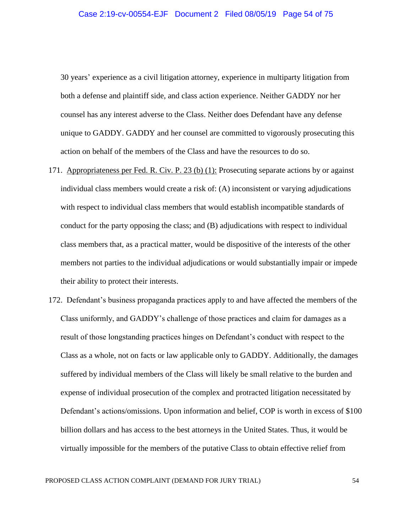30 years' experience as a civil litigation attorney, experience in multiparty litigation from both a defense and plaintiff side, and class action experience. Neither GADDY nor her counsel has any interest adverse to the Class. Neither does Defendant have any defense unique to GADDY. GADDY and her counsel are committed to vigorously prosecuting this action on behalf of the members of the Class and have the resources to do so.

- 171. Appropriateness per Fed. R. Civ. P. 23 (b) (1): Prosecuting separate actions by or against individual class members would create a risk of: (A) inconsistent or varying adjudications with respect to individual class members that would establish incompatible standards of conduct for the party opposing the class; and (B) adjudications with respect to individual class members that, as a practical matter, would be dispositive of the interests of the other members not parties to the individual adjudications or would substantially impair or impede their ability to protect their interests.
- 172. Defendant's business propaganda practices apply to and have affected the members of the Class uniformly, and GADDY's challenge of those practices and claim for damages as a result of those longstanding practices hinges on Defendant's conduct with respect to the Class as a whole, not on facts or law applicable only to GADDY. Additionally, the damages suffered by individual members of the Class will likely be small relative to the burden and expense of individual prosecution of the complex and protracted litigation necessitated by Defendant's actions/omissions. Upon information and belief, COP is worth in excess of \$100 billion dollars and has access to the best attorneys in the United States. Thus, it would be virtually impossible for the members of the putative Class to obtain effective relief from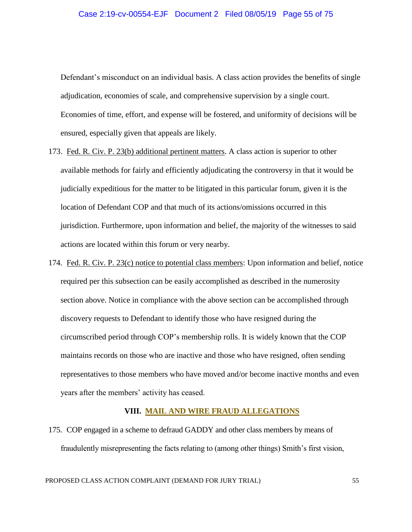Defendant's misconduct on an individual basis. A class action provides the benefits of single adjudication, economies of scale, and comprehensive supervision by a single court. Economies of time, effort, and expense will be fostered, and uniformity of decisions will be ensured, especially given that appeals are likely.

- 173. Fed. R. Civ. P. 23(b) additional pertinent matters. A class action is superior to other available methods for fairly and efficiently adjudicating the controversy in that it would be judicially expeditious for the matter to be litigated in this particular forum, given it is the location of Defendant COP and that much of its actions/omissions occurred in this jurisdiction. Furthermore, upon information and belief, the majority of the witnesses to said actions are located within this forum or very nearby.
- 174. Fed. R. Civ. P. 23(c) notice to potential class members: Upon information and belief, notice required per this subsection can be easily accomplished as described in the numerosity section above. Notice in compliance with the above section can be accomplished through discovery requests to Defendant to identify those who have resigned during the circumscribed period through COP's membership rolls. It is widely known that the COP maintains records on those who are inactive and those who have resigned, often sending representatives to those members who have moved and/or become inactive months and even years after the members' activity has ceased.

## **VIII. MAIL AND WIRE FRAUD ALLEGATIONS**

175. COP engaged in a scheme to defraud GADDY and other class members by means of fraudulently misrepresenting the facts relating to (among other things) Smith's first vision,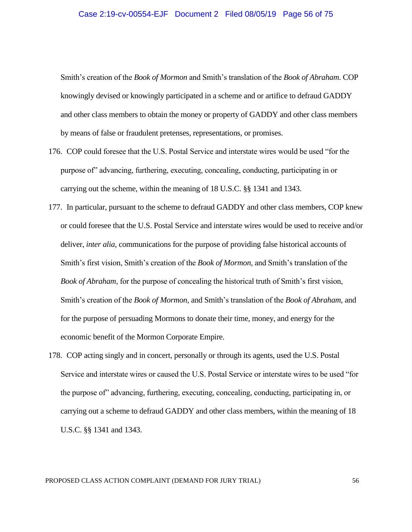### Case 2:19-cv-00554-EJF Document 2 Filed 08/05/19 Page 56 of 75

Smith's creation of the *Book of Mormon* and Smith's translation of the *Book of Abraham*. COP knowingly devised or knowingly participated in a scheme and or artifice to defraud GADDY and other class members to obtain the money or property of GADDY and other class members by means of false or fraudulent pretenses, representations, or promises.

- 176. COP could foresee that the U.S. Postal Service and interstate wires would be used "for the purpose of" advancing, furthering, executing, concealing, conducting, participating in or carrying out the scheme, within the meaning of 18 U.S.C. §§ 1341 and 1343.
- 177. In particular, pursuant to the scheme to defraud GADDY and other class members, COP knew or could foresee that the U.S. Postal Service and interstate wires would be used to receive and/or deliver, *inter alia*, communications for the purpose of providing false historical accounts of Smith's first vision, Smith's creation of the *Book of Mormon,* and Smith's translation of the *Book of Abraham*, for the purpose of concealing the historical truth of Smith's first vision, Smith's creation of the *Book of Mormon,* and Smith's translation of the *Book of Abraham*, and for the purpose of persuading Mormons to donate their time, money, and energy for the economic benefit of the Mormon Corporate Empire.
- 178. COP acting singly and in concert, personally or through its agents, used the U.S. Postal Service and interstate wires or caused the U.S. Postal Service or interstate wires to be used "for the purpose of" advancing, furthering, executing, concealing, conducting, participating in, or carrying out a scheme to defraud GADDY and other class members, within the meaning of 18 U.S.C. §§ 1341 and 1343.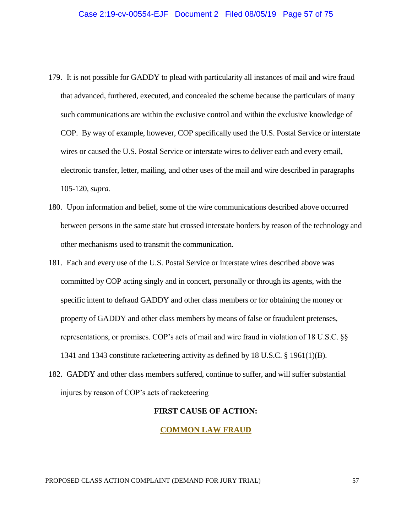- 179. It is not possible for GADDY to plead with particularity all instances of mail and wire fraud that advanced, furthered, executed, and concealed the scheme because the particulars of many such communications are within the exclusive control and within the exclusive knowledge of COP. By way of example, however, COP specifically used the U.S. Postal Service or interstate wires or caused the U.S. Postal Service or interstate wires to deliver each and every email, electronic transfer, letter, mailing, and other uses of the mail and wire described in paragraphs 105-120, *supra.*
- 180. Upon information and belief, some of the wire communications described above occurred between persons in the same state but crossed interstate borders by reason of the technology and other mechanisms used to transmit the communication.
- 181. Each and every use of the U.S. Postal Service or interstate wires described above was committed by COP acting singly and in concert, personally or through its agents, with the specific intent to defraud GADDY and other class members or for obtaining the money or property of GADDY and other class members by means of false or fraudulent pretenses, representations, or promises. COP's acts of mail and wire fraud in violation of 18 U.S.C. §§ 1341 and 1343 constitute racketeering activity as defined by 18 U.S.C. § 1961(1)(B).
- 182. GADDY and other class members suffered, continue to suffer, and will suffer substantial injures by reason of COP's acts of racketeering

## **FIRST CAUSE OF ACTION:**

## **COMMON LAW FRAUD**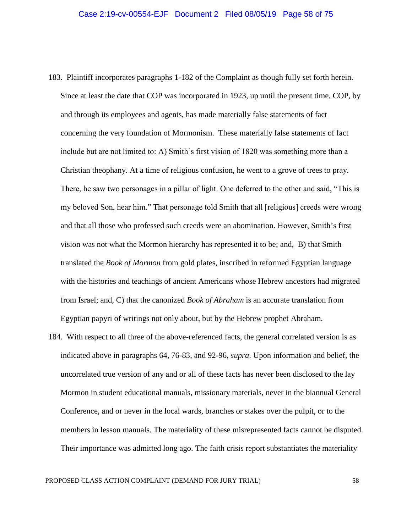- 183. Plaintiff incorporates paragraphs 1-182 of the Complaint as though fully set forth herein. Since at least the date that COP was incorporated in 1923, up until the present time, COP, by and through its employees and agents, has made materially false statements of fact concerning the very foundation of Mormonism. These materially false statements of fact include but are not limited to: A) Smith's first vision of 1820 was something more than a Christian theophany. At a time of religious confusion, he went to a grove of trees to pray. There, he saw two personages in a pillar of light. One deferred to the other and said, "This is my beloved Son, hear him." That personage told Smith that all [religious] creeds were wrong and that all those who professed such creeds were an abomination. However, Smith's first vision was not what the Mormon hierarchy has represented it to be; and, B) that Smith translated the *Book of Mormon* from gold plates, inscribed in reformed Egyptian language with the histories and teachings of ancient Americans whose Hebrew ancestors had migrated from Israel; and, C) that the canonized *Book of Abraham* is an accurate translation from Egyptian papyri of writings not only about, but by the Hebrew prophet Abraham.
- 184. With respect to all three of the above-referenced facts, the general correlated version is as indicated above in paragraphs 64, 76-83, and 92-96, *supra*. Upon information and belief, the uncorrelated true version of any and or all of these facts has never been disclosed to the lay Mormon in student educational manuals, missionary materials, never in the biannual General Conference, and or never in the local wards, branches or stakes over the pulpit, or to the members in lesson manuals. The materiality of these misrepresented facts cannot be disputed. Their importance was admitted long ago. The faith crisis report substantiates the materiality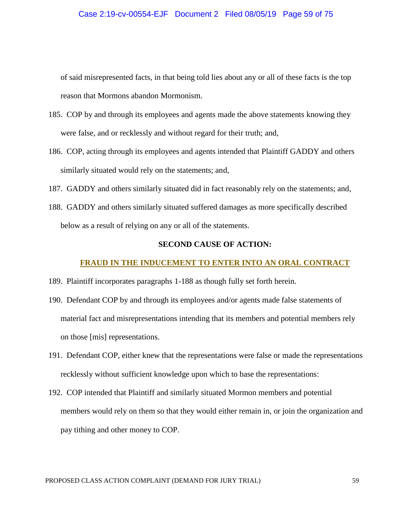#### Case 2:19-cv-00554-EJF Document 2 Filed 08/05/19 Page 59 of 75

of said misrepresented facts, in that being told lies about any or all of these facts is the top reason that Mormons abandon Mormonism.

- 185. COP by and through its employees and agents made the above statements knowing they were false, and or recklessly and without regard for their truth; and,
- 186. COP, acting through its employees and agents intended that Plaintiff GADDY and others similarly situated would rely on the statements; and,
- 187. GADDY and others similarly situated did in fact reasonably rely on the statements; and,
- 188. GADDY and others similarly situated suffered damages as more specifically described below as a result of relying on any or all of the statements.

# **SECOND CAUSE OF ACTION:**

### **FRAUD IN THE INDUCEMENT TO ENTER INTO AN ORAL CONTRACT**

- 189. Plaintiff incorporates paragraphs 1-188 as though fully set forth herein.
- 190. Defendant COP by and through its employees and/or agents made false statements of material fact and misrepresentations intending that its members and potential members rely on those [mis] representations.
- 191. Defendant COP, either knew that the representations were false or made the representations recklessly without sufficient knowledge upon which to base the representations:
- 192. COP intended that Plaintiff and similarly situated Mormon members and potential members would rely on them so that they would either remain in, or join the organization and pay tithing and other money to COP.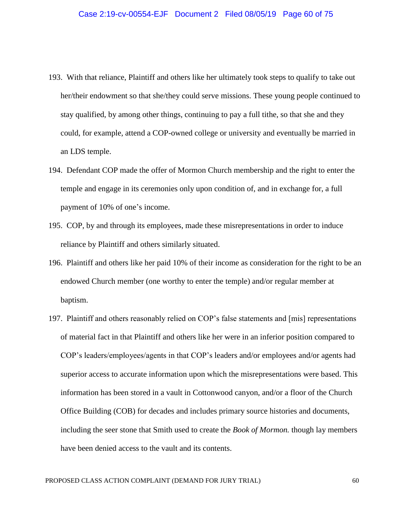- 193. With that reliance, Plaintiff and others like her ultimately took steps to qualify to take out her/their endowment so that she/they could serve missions. These young people continued to stay qualified, by among other things, continuing to pay a full tithe, so that she and they could, for example, attend a COP-owned college or university and eventually be married in an LDS temple.
- 194. Defendant COP made the offer of Mormon Church membership and the right to enter the temple and engage in its ceremonies only upon condition of, and in exchange for, a full payment of 10% of one's income.
- 195. COP, by and through its employees, made these misrepresentations in order to induce reliance by Plaintiff and others similarly situated.
- 196. Plaintiff and others like her paid 10% of their income as consideration for the right to be an endowed Church member (one worthy to enter the temple) and/or regular member at baptism.
- 197. Plaintiff and others reasonably relied on COP's false statements and [mis] representations of material fact in that Plaintiff and others like her were in an inferior position compared to COP's leaders/employees/agents in that COP's leaders and/or employees and/or agents had superior access to accurate information upon which the misrepresentations were based. This information has been stored in a vault in Cottonwood canyon, and/or a floor of the Church Office Building (COB) for decades and includes primary source histories and documents, including the seer stone that Smith used to create the *Book of Mormon.* though lay members have been denied access to the vault and its contents.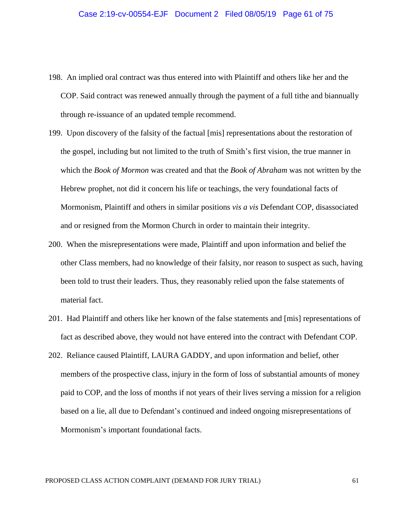- 198. An implied oral contract was thus entered into with Plaintiff and others like her and the COP. Said contract was renewed annually through the payment of a full tithe and biannually through re-issuance of an updated temple recommend.
- 199. Upon discovery of the falsity of the factual [mis] representations about the restoration of the gospel, including but not limited to the truth of Smith's first vision, the true manner in which the *Book of Mormon* was created and that the *Book of Abraham* was not written by the Hebrew prophet, not did it concern his life or teachings, the very foundational facts of Mormonism, Plaintiff and others in similar positions *vis a vis* Defendant COP, disassociated and or resigned from the Mormon Church in order to maintain their integrity.
- 200. When the misrepresentations were made, Plaintiff and upon information and belief the other Class members, had no knowledge of their falsity, nor reason to suspect as such, having been told to trust their leaders. Thus, they reasonably relied upon the false statements of material fact.
- 201. Had Plaintiff and others like her known of the false statements and [mis] representations of fact as described above, they would not have entered into the contract with Defendant COP.
- 202. Reliance caused Plaintiff, LAURA GADDY, and upon information and belief, other members of the prospective class, injury in the form of loss of substantial amounts of money paid to COP, and the loss of months if not years of their lives serving a mission for a religion based on a lie, all due to Defendant's continued and indeed ongoing misrepresentations of Mormonism's important foundational facts.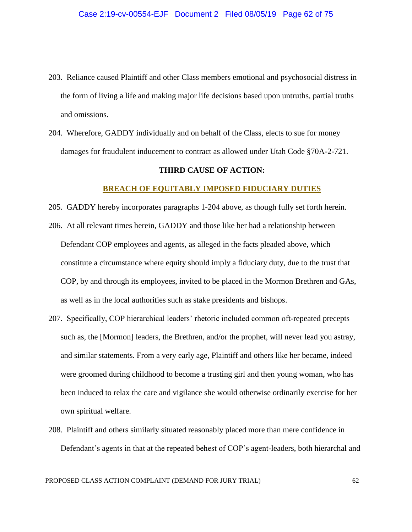- 203. Reliance caused Plaintiff and other Class members emotional and psychosocial distress in the form of living a life and making major life decisions based upon untruths, partial truths and omissions.
- 204. Wherefore, GADDY individually and on behalf of the Class, elects to sue for money damages for fraudulent inducement to contract as allowed under Utah Code §70A-2-721.

## **THIRD CAUSE OF ACTION:**

## **BREACH OF EQUITABLY IMPOSED FIDUCIARY DUTIES**

- 205. GADDY hereby incorporates paragraphs 1-204 above, as though fully set forth herein.
- 206. At all relevant times herein, GADDY and those like her had a relationship between Defendant COP employees and agents, as alleged in the facts pleaded above, which constitute a circumstance where equity should imply a fiduciary duty, due to the trust that COP, by and through its employees, invited to be placed in the Mormon Brethren and GAs, as well as in the local authorities such as stake presidents and bishops.
- 207. Specifically, COP hierarchical leaders' rhetoric included common oft-repeated precepts such as, the [Mormon] leaders, the Brethren, and/or the prophet, will never lead you astray, and similar statements. From a very early age, Plaintiff and others like her became, indeed were groomed during childhood to become a trusting girl and then young woman, who has been induced to relax the care and vigilance she would otherwise ordinarily exercise for her own spiritual welfare.
- 208. Plaintiff and others similarly situated reasonably placed more than mere confidence in Defendant's agents in that at the repeated behest of COP's agent-leaders, both hierarchal and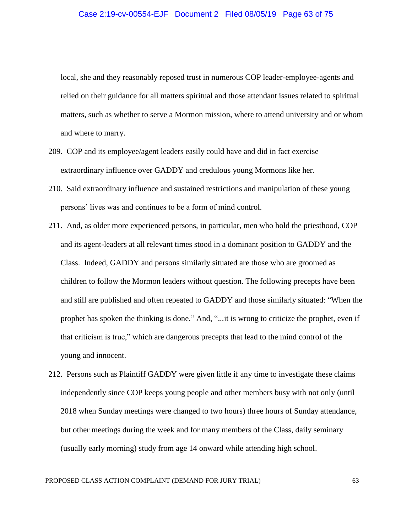local, she and they reasonably reposed trust in numerous COP leader-employee-agents and relied on their guidance for all matters spiritual and those attendant issues related to spiritual matters, such as whether to serve a Mormon mission, where to attend university and or whom and where to marry.

- 209. COP and its employee/agent leaders easily could have and did in fact exercise extraordinary influence over GADDY and credulous young Mormons like her.
- 210. Said extraordinary influence and sustained restrictions and manipulation of these young persons' lives was and continues to be a form of mind control.
- 211. And, as older more experienced persons, in particular, men who hold the priesthood, COP and its agent-leaders at all relevant times stood in a dominant position to GADDY and the Class. Indeed, GADDY and persons similarly situated are those who are groomed as children to follow the Mormon leaders without question. The following precepts have been and still are published and often repeated to GADDY and those similarly situated: "When the prophet has spoken the thinking is done." And, "...it is wrong to criticize the prophet, even if that criticism is true," which are dangerous precepts that lead to the mind control of the young and innocent.
- 212. Persons such as Plaintiff GADDY were given little if any time to investigate these claims independently since COP keeps young people and other members busy with not only (until 2018 when Sunday meetings were changed to two hours) three hours of Sunday attendance, but other meetings during the week and for many members of the Class, daily seminary (usually early morning) study from age 14 onward while attending high school.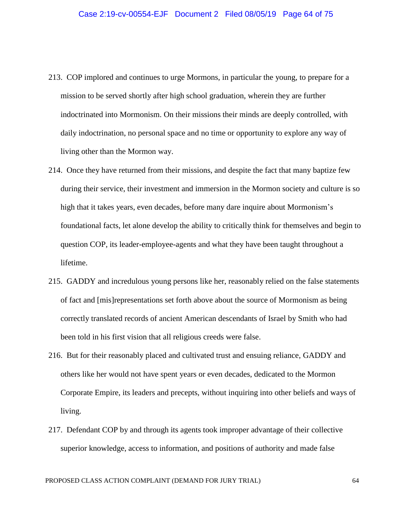- 213. COP implored and continues to urge Mormons, in particular the young, to prepare for a mission to be served shortly after high school graduation, wherein they are further indoctrinated into Mormonism. On their missions their minds are deeply controlled, with daily indoctrination, no personal space and no time or opportunity to explore any way of living other than the Mormon way.
- 214. Once they have returned from their missions, and despite the fact that many baptize few during their service, their investment and immersion in the Mormon society and culture is so high that it takes years, even decades, before many dare inquire about Mormonism's foundational facts, let alone develop the ability to critically think for themselves and begin to question COP, its leader-employee-agents and what they have been taught throughout a lifetime.
- 215. GADDY and incredulous young persons like her, reasonably relied on the false statements of fact and [mis]representations set forth above about the source of Mormonism as being correctly translated records of ancient American descendants of Israel by Smith who had been told in his first vision that all religious creeds were false.
- 216. But for their reasonably placed and cultivated trust and ensuing reliance, GADDY and others like her would not have spent years or even decades, dedicated to the Mormon Corporate Empire, its leaders and precepts, without inquiring into other beliefs and ways of living.
- 217. Defendant COP by and through its agents took improper advantage of their collective superior knowledge, access to information, and positions of authority and made false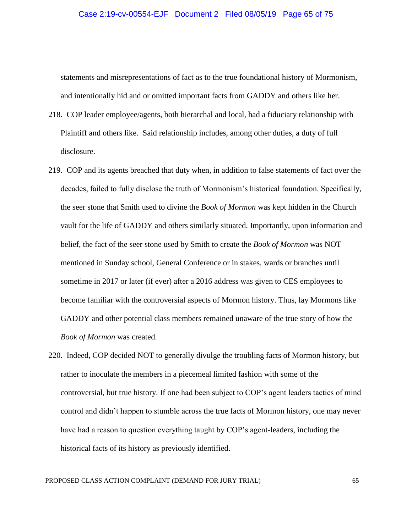#### Case 2:19-cv-00554-EJF Document 2 Filed 08/05/19 Page 65 of 75

statements and misrepresentations of fact as to the true foundational history of Mormonism, and intentionally hid and or omitted important facts from GADDY and others like her.

- 218. COP leader employee/agents, both hierarchal and local, had a fiduciary relationship with Plaintiff and others like. Said relationship includes, among other duties, a duty of full disclosure.
- 219. COP and its agents breached that duty when, in addition to false statements of fact over the decades, failed to fully disclose the truth of Mormonism's historical foundation. Specifically, the seer stone that Smith used to divine the *Book of Mormon* was kept hidden in the Church vault for the life of GADDY and others similarly situated. Importantly, upon information and belief, the fact of the seer stone used by Smith to create the *Book of Mormon* was NOT mentioned in Sunday school, General Conference or in stakes, wards or branches until sometime in 2017 or later (if ever) after a 2016 address was given to CES employees to become familiar with the controversial aspects of Mormon history. Thus, lay Mormons like GADDY and other potential class members remained unaware of the true story of how the *Book of Mormon* was created.
- 220. Indeed, COP decided NOT to generally divulge the troubling facts of Mormon history, but rather to inoculate the members in a piecemeal limited fashion with some of the controversial, but true history. If one had been subject to COP's agent leaders tactics of mind control and didn't happen to stumble across the true facts of Mormon history, one may never have had a reason to question everything taught by COP's agent-leaders, including the historical facts of its history as previously identified.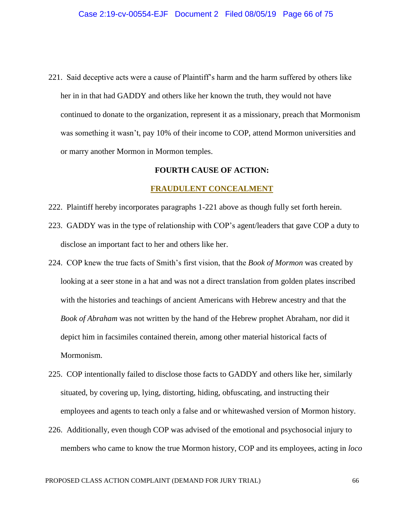221. Said deceptive acts were a cause of Plaintiff's harm and the harm suffered by others like her in in that had GADDY and others like her known the truth, they would not have continued to donate to the organization, represent it as a missionary, preach that Mormonism was something it wasn't, pay 10% of their income to COP, attend Mormon universities and or marry another Mormon in Mormon temples.

## **FOURTH CAUSE OF ACTION:**

### **FRAUDULENT CONCEALMENT**

- 222. Plaintiff hereby incorporates paragraphs 1-221 above as though fully set forth herein.
- 223. GADDY was in the type of relationship with COP's agent/leaders that gave COP a duty to disclose an important fact to her and others like her.
- 224. COP knew the true facts of Smith's first vision, that the *Book of Mormon* was created by looking at a seer stone in a hat and was not a direct translation from golden plates inscribed with the histories and teachings of ancient Americans with Hebrew ancestry and that the *Book of Abraham* was not written by the hand of the Hebrew prophet Abraham, nor did it depict him in facsimiles contained therein, among other material historical facts of Mormonism.
- 225. COP intentionally failed to disclose those facts to GADDY and others like her, similarly situated, by covering up, lying, distorting, hiding, obfuscating, and instructing their employees and agents to teach only a false and or whitewashed version of Mormon history.
- 226. Additionally, even though COP was advised of the emotional and psychosocial injury to members who came to know the true Mormon history, COP and its employees, acting in *loco*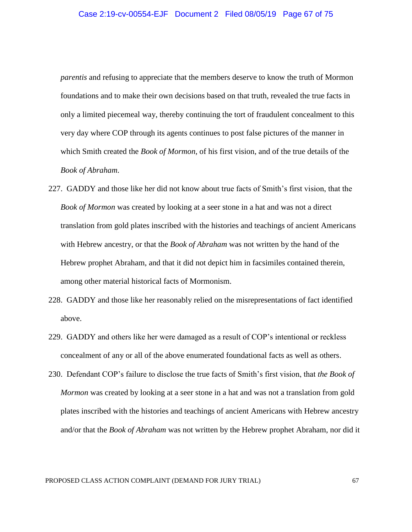*parentis* and refusing to appreciate that the members deserve to know the truth of Mormon foundations and to make their own decisions based on that truth, revealed the true facts in only a limited piecemeal way, thereby continuing the tort of fraudulent concealment to this very day where COP through its agents continues to post false pictures of the manner in which Smith created the *Book of Mormon*, of his first vision, and of the true details of the *Book of Abraham*.

- 227. GADDY and those like her did not know about true facts of Smith's first vision, that the *Book of Mormon* was created by looking at a seer stone in a hat and was not a direct translation from gold plates inscribed with the histories and teachings of ancient Americans with Hebrew ancestry, or that the *Book of Abraham* was not written by the hand of the Hebrew prophet Abraham, and that it did not depict him in facsimiles contained therein, among other material historical facts of Mormonism.
- 228. GADDY and those like her reasonably relied on the misrepresentations of fact identified above.
- 229. GADDY and others like her were damaged as a result of COP's intentional or reckless concealment of any or all of the above enumerated foundational facts as well as others.
- 230. Defendant COP's failure to disclose the true facts of Smith's first vision, that *the Book of Mormon* was created by looking at a seer stone in a hat and was not a translation from gold plates inscribed with the histories and teachings of ancient Americans with Hebrew ancestry and/or that the *Book of Abraham* was not written by the Hebrew prophet Abraham, nor did it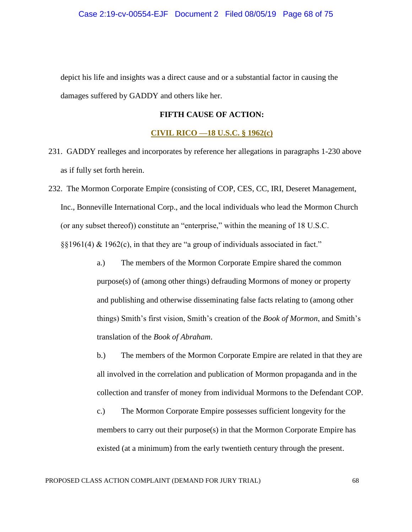depict his life and insights was a direct cause and or a substantial factor in causing the damages suffered by GADDY and others like her.

# **FIFTH CAUSE OF ACTION:**

## **CIVIL RICO —18 U.S.C. § 1962(c)**

- 231. GADDY realleges and incorporates by reference her allegations in paragraphs 1-230 above as if fully set forth herein.
- 232. The Mormon Corporate Empire (consisting of COP, CES, CC, IRI, Deseret Management, Inc., Bonneville International Corp., and the local individuals who lead the Mormon Church (or any subset thereof)) constitute an "enterprise," within the meaning of 18 U.S.C. §§1961(4) & 1962(c), in that they are "a group of individuals associated in fact."
	- a.) The members of the Mormon Corporate Empire shared the common purpose(s) of (among other things) defrauding Mormons of money or property and publishing and otherwise disseminating false facts relating to (among other things) Smith's first vision, Smith's creation of the *Book of Mormon*, and Smith's translation of the *Book of Abraham*.
	- b.) The members of the Mormon Corporate Empire are related in that they are all involved in the correlation and publication of Mormon propaganda and in the collection and transfer of money from individual Mormons to the Defendant COP.
	- c.) The Mormon Corporate Empire possesses sufficient longevity for the members to carry out their purpose(s) in that the Mormon Corporate Empire has existed (at a minimum) from the early twentieth century through the present.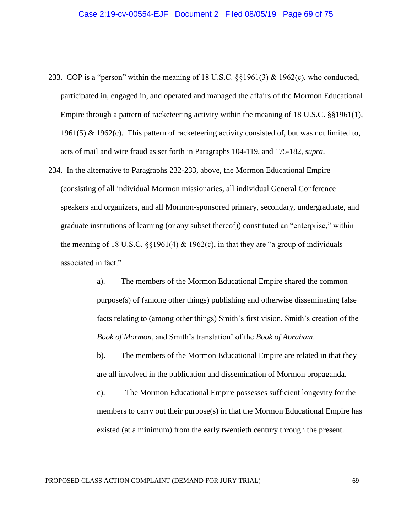- 233. COP is a "person" within the meaning of 18 U.S.C. §§1961(3) & 1962(c), who conducted, participated in, engaged in, and operated and managed the affairs of the Mormon Educational Empire through a pattern of racketeering activity within the meaning of 18 U.S.C. §§1961(1), 1961(5) & 1962(c). This pattern of racketeering activity consisted of, but was not limited to, acts of mail and wire fraud as set forth in Paragraphs 104-119, and 175-182, *supra*.
- 234. In the alternative to Paragraphs 232-233, above, the Mormon Educational Empire (consisting of all individual Mormon missionaries, all individual General Conference speakers and organizers, and all Mormon-sponsored primary, secondary, undergraduate, and graduate institutions of learning (or any subset thereof)) constituted an "enterprise," within the meaning of 18 U.S.C.  $\S 1961(4) \& 1962(c)$ , in that they are "a group of individuals" associated in fact."
	- a). The members of the Mormon Educational Empire shared the common purpose(s) of (among other things) publishing and otherwise disseminating false facts relating to (among other things) Smith's first vision, Smith's creation of the *Book of Mormon*, and Smith's translation' of the *Book of Abraham*.

b). The members of the Mormon Educational Empire are related in that they are all involved in the publication and dissemination of Mormon propaganda.

c). The Mormon Educational Empire possesses sufficient longevity for the members to carry out their purpose $(s)$  in that the Mormon Educational Empire has existed (at a minimum) from the early twentieth century through the present.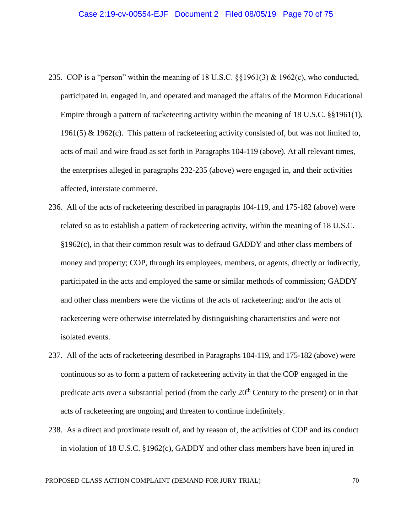- 235. COP is a "person" within the meaning of 18 U.S.C. §§1961(3) & 1962(c), who conducted, participated in, engaged in, and operated and managed the affairs of the Mormon Educational Empire through a pattern of racketeering activity within the meaning of 18 U.S.C. §§1961(1), 1961(5) & 1962(c). This pattern of racketeering activity consisted of, but was not limited to, acts of mail and wire fraud as set forth in Paragraphs 104-119 (above). At all relevant times, the enterprises alleged in paragraphs 232-235 (above) were engaged in, and their activities affected, interstate commerce.
- 236. All of the acts of racketeering described in paragraphs 104-119, and 175-182 (above) were related so as to establish a pattern of racketeering activity, within the meaning of 18 U.S.C. §1962(c), in that their common result was to defraud GADDY and other class members of money and property; COP, through its employees, members, or agents, directly or indirectly, participated in the acts and employed the same or similar methods of commission; GADDY and other class members were the victims of the acts of racketeering; and/or the acts of racketeering were otherwise interrelated by distinguishing characteristics and were not isolated events.
- 237. All of the acts of racketeering described in Paragraphs 104-119, and 175-182 (above) were continuous so as to form a pattern of racketeering activity in that the COP engaged in the predicate acts over a substantial period (from the early 20<sup>th</sup> Century to the present) or in that acts of racketeering are ongoing and threaten to continue indefinitely.
- 238. As a direct and proximate result of, and by reason of, the activities of COP and its conduct in violation of 18 U.S.C. §1962(c), GADDY and other class members have been injured in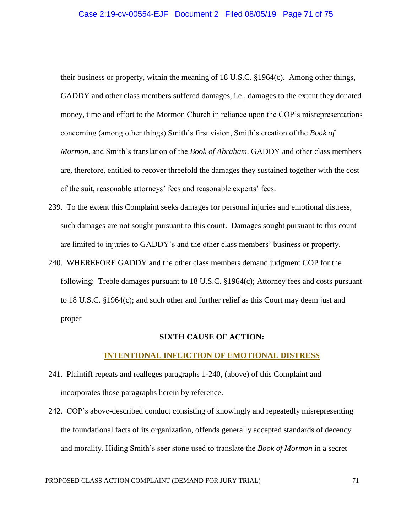#### Case 2:19-cv-00554-EJF Document 2 Filed 08/05/19 Page 71 of 75

their business or property, within the meaning of 18 U.S.C. §1964(c). Among other things, GADDY and other class members suffered damages, i.e., damages to the extent they donated money, time and effort to the Mormon Church in reliance upon the COP's misrepresentations concerning (among other things) Smith's first vision, Smith's creation of the *Book of Mormon*, and Smith's translation of the *Book of Abraham*. GADDY and other class members are, therefore, entitled to recover threefold the damages they sustained together with the cost of the suit, reasonable attorneys' fees and reasonable experts' fees.

- 239. To the extent this Complaint seeks damages for personal injuries and emotional distress, such damages are not sought pursuant to this count. Damages sought pursuant to this count are limited to injuries to GADDY's and the other class members' business or property.
- 240. WHEREFORE GADDY and the other class members demand judgment COP for the following: Treble damages pursuant to 18 U.S.C. §1964(c); Attorney fees and costs pursuant to 18 U.S.C. §1964(c); and such other and further relief as this Court may deem just and proper

#### **SIXTH CAUSE OF ACTION:**

### **INTENTIONAL INFLICTION OF EMOTIONAL DISTRESS**

- 241. Plaintiff repeats and realleges paragraphs 1-240, (above) of this Complaint and incorporates those paragraphs herein by reference.
- 242. COP's above-described conduct consisting of knowingly and repeatedly misrepresenting the foundational facts of its organization, offends generally accepted standards of decency and morality. Hiding Smith's seer stone used to translate the *Book of Mormon* in a secret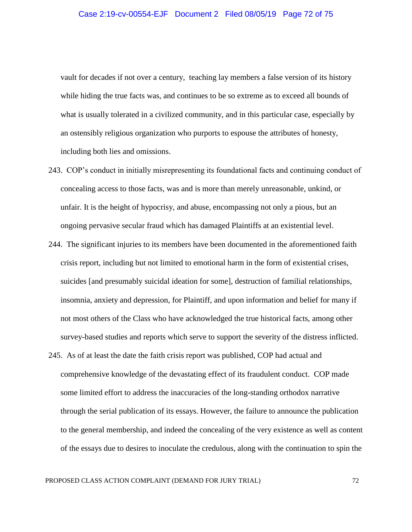vault for decades if not over a century, teaching lay members a false version of its history while hiding the true facts was, and continues to be so extreme as to exceed all bounds of what is usually tolerated in a civilized community, and in this particular case, especially by an ostensibly religious organization who purports to espouse the attributes of honesty, including both lies and omissions.

- 243. COP's conduct in initially misrepresenting its foundational facts and continuing conduct of concealing access to those facts, was and is more than merely unreasonable, unkind, or unfair. It is the height of hypocrisy, and abuse, encompassing not only a pious, but an ongoing pervasive secular fraud which has damaged Plaintiffs at an existential level.
- 244. The significant injuries to its members have been documented in the aforementioned faith crisis report, including but not limited to emotional harm in the form of existential crises, suicides [and presumably suicidal ideation for some], destruction of familial relationships, insomnia, anxiety and depression, for Plaintiff, and upon information and belief for many if not most others of the Class who have acknowledged the true historical facts, among other survey-based studies and reports which serve to support the severity of the distress inflicted.
- 245. As of at least the date the faith crisis report was published, COP had actual and comprehensive knowledge of the devastating effect of its fraudulent conduct. COP made some limited effort to address the inaccuracies of the long-standing orthodox narrative through the serial publication of its essays. However, the failure to announce the publication to the general membership, and indeed the concealing of the very existence as well as content of the essays due to desires to inoculate the credulous, along with the continuation to spin the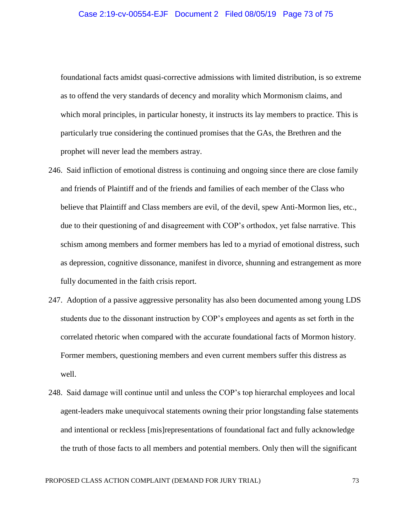foundational facts amidst quasi-corrective admissions with limited distribution, is so extreme as to offend the very standards of decency and morality which Mormonism claims, and which moral principles, in particular honesty, it instructs its lay members to practice. This is particularly true considering the continued promises that the GAs, the Brethren and the prophet will never lead the members astray.

- 246. Said infliction of emotional distress is continuing and ongoing since there are close family and friends of Plaintiff and of the friends and families of each member of the Class who believe that Plaintiff and Class members are evil, of the devil, spew Anti-Mormon lies, etc., due to their questioning of and disagreement with COP's orthodox, yet false narrative. This schism among members and former members has led to a myriad of emotional distress, such as depression, cognitive dissonance, manifest in divorce, shunning and estrangement as more fully documented in the faith crisis report.
- 247. Adoption of a passive aggressive personality has also been documented among young LDS students due to the dissonant instruction by COP's employees and agents as set forth in the correlated rhetoric when compared with the accurate foundational facts of Mormon history. Former members, questioning members and even current members suffer this distress as well.
- 248. Said damage will continue until and unless the COP's top hierarchal employees and local agent-leaders make unequivocal statements owning their prior longstanding false statements and intentional or reckless [mis]representations of foundational fact and fully acknowledge the truth of those facts to all members and potential members. Only then will the significant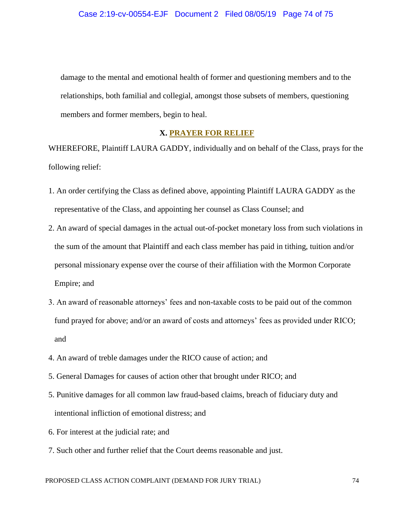damage to the mental and emotional health of former and questioning members and to the relationships, both familial and collegial, amongst those subsets of members, questioning members and former members, begin to heal.

## **X. PRAYER FOR RELIEF**

WHEREFORE, Plaintiff LAURA GADDY, individually and on behalf of the Class, prays for the following relief:

- 1. An order certifying the Class as defined above, appointing Plaintiff LAURA GADDY as the representative of the Class, and appointing her counsel as Class Counsel; and
- 2. An award of special damages in the actual out-of-pocket monetary loss from such violations in the sum of the amount that Plaintiff and each class member has paid in tithing, tuition and/or personal missionary expense over the course of their affiliation with the Mormon Corporate Empire; and
- 3. An award of reasonable attorneys' fees and non-taxable costs to be paid out of the common fund prayed for above; and/or an award of costs and attorneys' fees as provided under RICO; and
- 4. An award of treble damages under the RICO cause of action; and
- 5. General Damages for causes of action other that brought under RICO; and
- 5. Punitive damages for all common law fraud-based claims, breach of fiduciary duty and intentional infliction of emotional distress; and
- 6. For interest at the judicial rate; and
- 7. Such other and further relief that the Court deems reasonable and just.